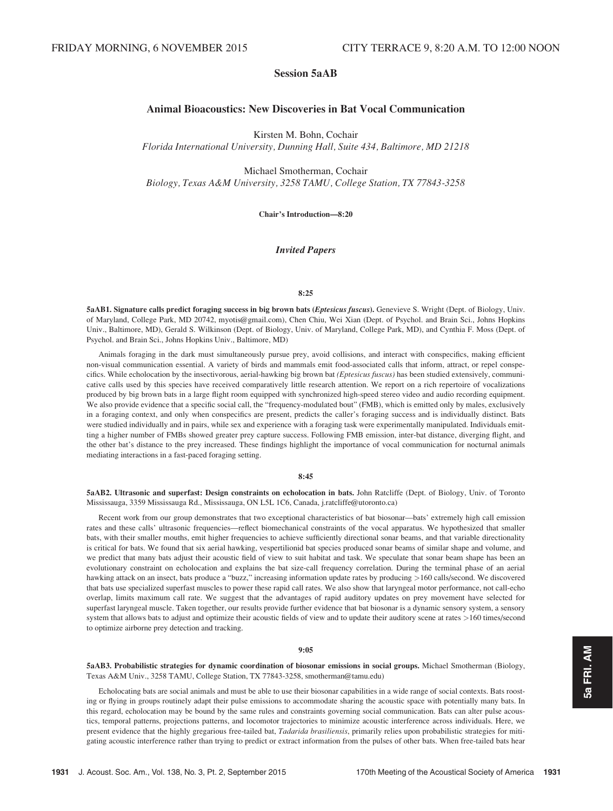# Session 5aAB

# Animal Bioacoustics: New Discoveries in Bat Vocal Communication

Kirsten M. Bohn, Cochair

Florida International University, Dunning Hall, Suite 434, Baltimore, MD 21218

Michael Smotherman, Cochair Biology, Texas A&M University, 3258 TAMU, College Station, TX 77843-3258

Chair's Introduction—8:20

# Invited Papers

## 8:25

5aAB1. Signature calls predict foraging success in big brown bats (Eptesicus fuscus). Genevieve S. Wright (Dept. of Biology, Univ. of Maryland, College Park, MD 20742, myotis@gmail.com), Chen Chiu, Wei Xian (Dept. of Psychol. and Brain Sci., Johns Hopkins Univ., Baltimore, MD), Gerald S. Wilkinson (Dept. of Biology, Univ. of Maryland, College Park, MD), and Cynthia F. Moss (Dept. of Psychol. and Brain Sci., Johns Hopkins Univ., Baltimore, MD)

Animals foraging in the dark must simultaneously pursue prey, avoid collisions, and interact with conspecifics, making efficient non-visual communication essential. A variety of birds and mammals emit food-associated calls that inform, attract, or repel conspecifics. While echolocation by the insectivorous, aerial-hawking big brown bat (Eptesicus fuscus) has been studied extensively, communicative calls used by this species have received comparatively little research attention. We report on a rich repertoire of vocalizations produced by big brown bats in a large flight room equipped with synchronized high-speed stereo video and audio recording equipment. We also provide evidence that a specific social call, the "frequency-modulated bout" (FMB), which is emitted only by males, exclusively in a foraging context, and only when conspecifics are present, predicts the caller's foraging success and is individually distinct. Bats were studied individually and in pairs, while sex and experience with a foraging task were experimentally manipulated. Individuals emitting a higher number of FMBs showed greater prey capture success. Following FMB emission, inter-bat distance, diverging flight, and the other bat's distance to the prey increased. These findings highlight the importance of vocal communication for nocturnal animals mediating interactions in a fast-paced foraging setting.

## 8:45

5aAB2. Ultrasonic and superfast: Design constraints on echolocation in bats. John Ratcliffe (Dept. of Biology, Univ. of Toronto Mississauga, 3359 Mississauga Rd., Mississauga, ON L5L 1C6, Canada, j.ratcliffe@utoronto.ca)

Recent work from our group demonstrates that two exceptional characteristics of bat biosonar—bats' extremely high call emission rates and these calls' ultrasonic frequencies—reflect biomechanical constraints of the vocal apparatus. We hypothesized that smaller bats, with their smaller mouths, emit higher frequencies to achieve sufficiently directional sonar beams, and that variable directionality is critical for bats. We found that six aerial hawking, vespertilionid bat species produced sonar beams of similar shape and volume, and we predict that many bats adjust their acoustic field of view to suit habitat and task. We speculate that sonar beam shape has been an evolutionary constraint on echolocation and explains the bat size-call frequency correlation. During the terminal phase of an aerial hawking attack on an insect, bats produce a "buzz," increasing information update rates by producing >160 calls/second. We discovered that bats use specialized superfast muscles to power these rapid call rates. We also show that laryngeal motor performance, not call-echo overlap, limits maximum call rate. We suggest that the advantages of rapid auditory updates on prey movement have selected for superfast laryngeal muscle. Taken together, our results provide further evidence that bat biosonar is a dynamic sensory system, a sensory system that allows bats to adjust and optimize their acoustic fields of view and to update their auditory scene at rates >160 times/second to optimize airborne prey detection and tracking.

#### 9:05

5aAB3. Probabilistic strategies for dynamic coordination of biosonar emissions in social groups. Michael Smotherman (Biology, Texas A&M Univ., 3258 TAMU, College Station, TX 77843-3258, smotherman@tamu.edu)

Echolocating bats are social animals and must be able to use their biosonar capabilities in a wide range of social contexts. Bats roosting or flying in groups routinely adapt their pulse emissions to accommodate sharing the acoustic space with potentially many bats. In this regard, echolocation may be bound by the same rules and constraints governing social communication. Bats can alter pulse acoustics, temporal patterns, projections patterns, and locomotor trajectories to minimize acoustic interference across individuals. Here, we present evidence that the highly gregarious free-tailed bat, Tadarida brasiliensis, primarily relies upon probabilistic strategies for mitigating acoustic interference rather than trying to predict or extract information from the pulses of other bats. When free-tailed bats hear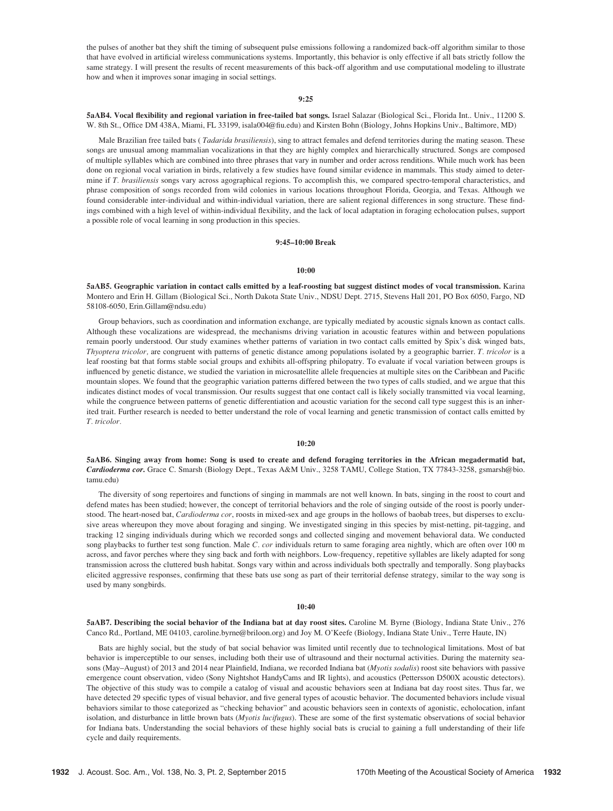the pulses of another bat they shift the timing of subsequent pulse emissions following a randomized back-off algorithm similar to those that have evolved in artificial wireless communications systems. Importantly, this behavior is only effective if all bats strictly follow the same strategy. I will present the results of recent measurements of this back-off algorithm and use computational modeling to illustrate how and when it improves sonar imaging in social settings.

## 9:25

5aAB4. Vocal flexibility and regional variation in free-tailed bat songs. Israel Salazar (Biological Sci., Florida Int.. Univ., 11200 S. W. 8th St., Office DM 438A, Miami, FL 33199, isala004@fiu.edu) and Kirsten Bohn (Biology, Johns Hopkins Univ., Baltimore, MD)

Male Brazilian free tailed bats (*Tadarida brasiliensis*), sing to attract females and defend territories during the mating season. These songs are unusual among mammalian vocalizations in that they are highly complex and hierarchically structured. Songs are composed of multiple syllables which are combined into three phrases that vary in number and order across renditions. While much work has been done on regional vocal variation in birds, relatively a few studies have found similar evidence in mammals. This study aimed to determine if T. brasiliensis songs vary across agographical regions. To accomplish this, we compared spectro-temporal characteristics, and phrase composition of songs recorded from wild colonies in various locations throughout Florida, Georgia, and Texas. Although we found considerable inter-individual and within-individual variation, there are salient regional differences in song structure. These findings combined with a high level of within-individual flexibility, and the lack of local adaptation in foraging echolocation pulses, support a possible role of vocal learning in song production in this species.

## 9:45–10:00 Break

#### 10:00

5aAB5. Geographic variation in contact calls emitted by a leaf-roosting bat suggest distinct modes of vocal transmission. Karina Montero and Erin H. Gillam (Biological Sci., North Dakota State Univ., NDSU Dept. 2715, Stevens Hall 201, PO Box 6050, Fargo, ND 58108-6050, Erin.Gillam@ndsu.edu)

Group behaviors, such as coordination and information exchange, are typically mediated by acoustic signals known as contact calls. Although these vocalizations are widespread, the mechanisms driving variation in acoustic features within and between populations remain poorly understood. Our study examines whether patterns of variation in two contact calls emitted by Spix's disk winged bats, Thyoptera tricolor, are congruent with patterns of genetic distance among populations isolated by a geographic barrier. T. tricolor is a leaf roosting bat that forms stable social groups and exhibits all-offspring philopatry. To evaluate if vocal variation between groups is influenced by genetic distance, we studied the variation in microsatellite allele frequencies at multiple sites on the Caribbean and Pacific mountain slopes. We found that the geographic variation patterns differed between the two types of calls studied, and we argue that this indicates distinct modes of vocal transmission. Our results suggest that one contact call is likely socially transmitted via vocal learning, while the congruence between patterns of genetic differentiation and acoustic variation for the second call type suggest this is an inherited trait. Further research is needed to better understand the role of vocal learning and genetic transmission of contact calls emitted by T. tricolor.

#### 10:20

5aAB6. Singing away from home: Song is used to create and defend foraging territories in the African megadermatid bat, Cardioderma cor. Grace C. Smarsh (Biology Dept., Texas A&M Univ., 3258 TAMU, College Station, TX 77843-3258, gsmarsh@bio. tamu.edu)

The diversity of song repertoires and functions of singing in mammals are not well known. In bats, singing in the roost to court and defend mates has been studied; however, the concept of territorial behaviors and the role of singing outside of the roost is poorly understood. The heart-nosed bat, Cardioderma cor, roosts in mixed-sex and age groups in the hollows of baobab trees, but disperses to exclusive areas whereupon they move about foraging and singing. We investigated singing in this species by mist-netting, pit-tagging, and tracking 12 singing individuals during which we recorded songs and collected singing and movement behavioral data. We conducted song playbacks to further test song function. Male C. cor individuals return to same foraging area nightly, which are often over 100 m across, and favor perches where they sing back and forth with neighbors. Low-frequency, repetitive syllables are likely adapted for song transmission across the cluttered bush habitat. Songs vary within and across individuals both spectrally and temporally. Song playbacks elicited aggressive responses, confirming that these bats use song as part of their territorial defense strategy, similar to the way song is used by many songbirds.

#### 10:40

5aAB7. Describing the social behavior of the Indiana bat at day roost sites. Caroline M. Byrne (Biology, Indiana State Univ., 276 Canco Rd., Portland, ME 04103, caroline.byrne@briloon.org) and Joy M. O'Keefe (Biology, Indiana State Univ., Terre Haute, IN)

Bats are highly social, but the study of bat social behavior was limited until recently due to technological limitations. Most of bat behavior is imperceptible to our senses, including both their use of ultrasound and their nocturnal activities. During the maternity seasons (May–August) of 2013 and 2014 near Plainfield, Indiana, we recorded Indiana bat (Myotis sodalis) roost site behaviors with passive emergence count observation, video (Sony Nightshot HandyCams and IR lights), and acoustics (Pettersson D500X acoustic detectors). The objective of this study was to compile a catalog of visual and acoustic behaviors seen at Indiana bat day roost sites. Thus far, we have detected 29 specific types of visual behavior, and five general types of acoustic behavior. The documented behaviors include visual behaviors similar to those categorized as "checking behavior" and acoustic behaviors seen in contexts of agonistic, echolocation, infant isolation, and disturbance in little brown bats (Myotis lucifugus). These are some of the first systematic observations of social behavior for Indiana bats. Understanding the social behaviors of these highly social bats is crucial to gaining a full understanding of their life cycle and daily requirements.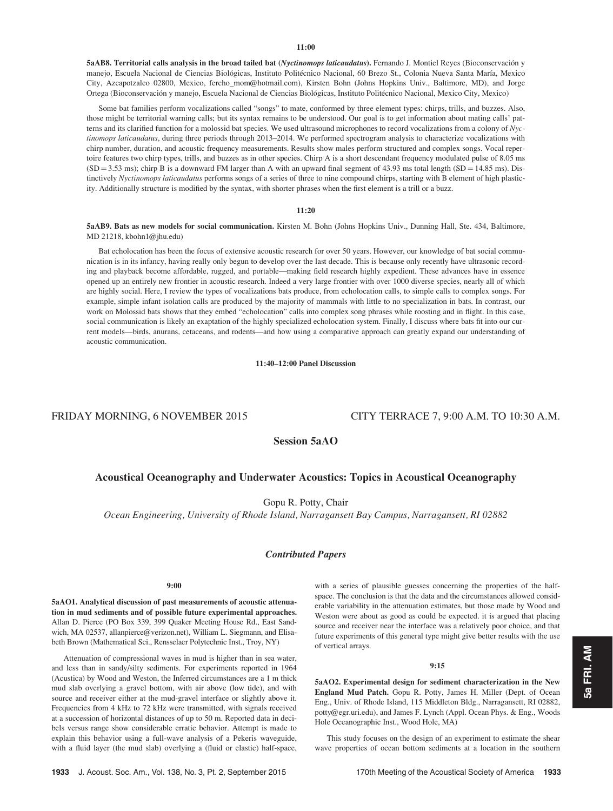5aAB8. Territorial calls analysis in the broad tailed bat (Nyctinomops laticaudatus). Fernando J. Montiel Reyes (Bioconservación y manejo, Escuela Nacional de Ciencias Biológicas, Instituto Politécnico Nacional, 60 Brezo St., Colonia Nueva Santa María, Mexico City, Azcapotzalco 02800, Mexico, fercho\_mom@hotmail.com), Kirsten Bohn (Johns Hopkins Univ., Baltimore, MD), and Jorge Ortega (Bioconservacio´n y manejo, Escuela Nacional de Ciencias Biolo´gicas, Instituto Polite´cnico Nacional, Mexico City, Mexico)

Some bat families perform vocalizations called "songs" to mate, conformed by three element types: chirps, trills, and buzzes. Also, those might be territorial warning calls; but its syntax remains to be understood. Our goal is to get information about mating calls' patterns and its clarified function for a molossid bat species. We used ultrasound microphones to record vocalizations from a colony of Nyctinomops laticaudatus, during three periods through 2013–2014. We performed spectrogram analysis to characterize vocalizations with chirp number, duration, and acoustic frequency measurements. Results show males perform structured and complex songs. Vocal repertoire features two chirp types, trills, and buzzes as in other species. Chirp A is a short descendant frequency modulated pulse of 8.05 ms  $(SD = 3.53 \text{ ms})$ ; chirp B is a downward FM larger than A with an upward final segment of 43.93 ms total length (SD = 14.85 ms). Distinctively Nyctinomops laticaudatus performs songs of a series of three to nine compound chirps, starting with B element of high plasticity. Additionally structure is modified by the syntax, with shorter phrases when the first element is a trill or a buzz.

## 11:20

5aAB9. Bats as new models for social communication. Kirsten M. Bohn (Johns Hopkins Univ., Dunning Hall, Ste. 434, Baltimore, MD 21218, kbohn1@jhu.edu)

Bat echolocation has been the focus of extensive acoustic research for over 50 years. However, our knowledge of bat social communication is in its infancy, having really only begun to develop over the last decade. This is because only recently have ultrasonic recording and playback become affordable, rugged, and portable—making field research highly expedient. These advances have in essence opened up an entirely new frontier in acoustic research. Indeed a very large frontier with over 1000 diverse species, nearly all of which are highly social. Here, I review the types of vocalizations bats produce, from echolocation calls, to simple calls to complex songs. For example, simple infant isolation calls are produced by the majority of mammals with little to no specialization in bats. In contrast, our work on Molossid bats shows that they embed "echolocation" calls into complex song phrases while roosting and in flight. In this case, social communication is likely an exaptation of the highly specialized echolocation system. Finally, I discuss where bats fit into our current models—birds, anurans, cetaceans, and rodents—and how using a comparative approach can greatly expand our understanding of acoustic communication.

## 11:40–12:00 Panel Discussion

# FRIDAY MORNING, 6 NOVEMBER 2015 CITY TERRACE 7, 9:00 A.M. TO 10:30 A.M.

Session 5aAO

# Acoustical Oceanography and Underwater Acoustics: Topics in Acoustical Oceanography

Gopu R. Potty, Chair

Ocean Engineering, University of Rhode Island, Narragansett Bay Campus, Narragansett, RI 02882

# Contributed Papers

# 9:00

5aAO1. Analytical discussion of past measurements of acoustic attenuation in mud sediments and of possible future experimental approaches. Allan D. Pierce (PO Box 339, 399 Quaker Meeting House Rd., East Sandwich, MA 02537, allanpierce@verizon.net), William L. Siegmann, and Elisabeth Brown (Mathematical Sci., Rensselaer Polytechnic Inst., Troy, NY)

Attenuation of compressional waves in mud is higher than in sea water, and less than in sandy/silty sediments. For experiments reported in 1964 (Acustica) by Wood and Weston, the Inferred circumstances are a 1 m thick mud slab overlying a gravel bottom, with air above (low tide), and with source and receiver either at the mud-gravel interface or slightly above it. Frequencies from 4 kHz to 72 kHz were transmitted, with signals received at a succession of horizontal distances of up to 50 m. Reported data in decibels versus range show considerable erratic behavior. Attempt is made to explain this behavior using a full-wave analysis of a Pekeris waveguide, with a fluid layer (the mud slab) overlying a (fluid or elastic) half-space, with a series of plausible guesses concerning the properties of the halfspace. The conclusion is that the data and the circumstances allowed considerable variability in the attenuation estimates, but those made by Wood and Weston were about as good as could be expected. it is argued that placing source and receiver near the interface was a relatively poor choice, and that future experiments of this general type might give better results with the use of vertical arrays.

## 9:15

5aAO2. Experimental design for sediment characterization in the New England Mud Patch. Gopu R. Potty, James H. Miller (Dept. of Ocean Eng., Univ. of Rhode Island, 115 Middleton Bldg., Narragansett, RI 02882, potty@egr.uri.edu), and James F. Lynch (Appl. Ocean Phys. & Eng., Woods Hole Oceanographic Inst., Wood Hole, MA)

This study focuses on the design of an experiment to estimate the shear wave properties of ocean bottom sediments at a location in the southern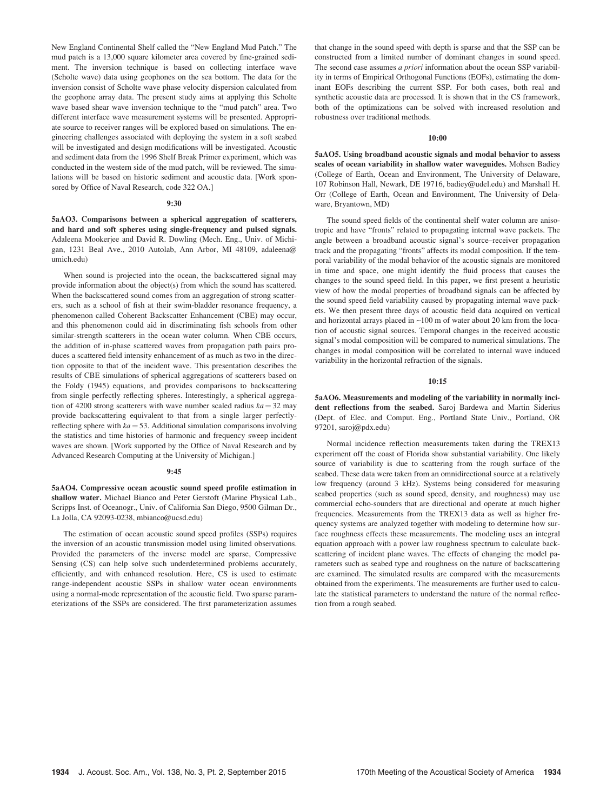New England Continental Shelf called the "New England Mud Patch." The mud patch is a 13,000 square kilometer area covered by fine-grained sediment. The inversion technique is based on collecting interface wave (Scholte wave) data using geophones on the sea bottom. The data for the inversion consist of Scholte wave phase velocity dispersion calculated from the geophone array data. The present study aims at applying this Scholte wave based shear wave inversion technique to the "mud patch" area. Two different interface wave measurement systems will be presented. Appropriate source to receiver ranges will be explored based on simulations. The engineering challenges associated with deploying the system in a soft seabed will be investigated and design modifications will be investigated. Acoustic and sediment data from the 1996 Shelf Break Primer experiment, which was conducted in the western side of the mud patch, will be reviewed. The simulations will be based on historic sediment and acoustic data. [Work sponsored by Office of Naval Research, code 322 OA.]

## 9:30

5aAO3. Comparisons between a spherical aggregation of scatterers, and hard and soft spheres using single-frequency and pulsed signals. Adaleena Mookerjee and David R. Dowling (Mech. Eng., Univ. of Michigan, 1231 Beal Ave., 2010 Autolab, Ann Arbor, MI 48109, adaleena@ umich.edu)

When sound is projected into the ocean, the backscattered signal may provide information about the object(s) from which the sound has scattered. When the backscattered sound comes from an aggregation of strong scatterers, such as a school of fish at their swim-bladder resonance frequency, a phenomenon called Coherent Backscatter Enhancement (CBE) may occur, and this phenomenon could aid in discriminating fish schools from other similar-strength scatterers in the ocean water column. When CBE occurs, the addition of in-phase scattered waves from propagation path pairs produces a scattered field intensity enhancement of as much as two in the direction opposite to that of the incident wave. This presentation describes the results of CBE simulations of spherical aggregations of scatterers based on the Foldy (1945) equations, and provides comparisons to backscattering from single perfectly reflecting spheres. Interestingly, a spherical aggregation of 4200 strong scatterers with wave number scaled radius  $ka = 32$  may provide backscattering equivalent to that from a single larger perfectlyreflecting sphere with  $ka = 53$ . Additional simulation comparisons involving the statistics and time histories of harmonic and frequency sweep incident waves are shown. [Work supported by the Office of Naval Research and by Advanced Research Computing at the University of Michigan.]

## 9:45

5aAO4. Compressive ocean acoustic sound speed profile estimation in shallow water. Michael Bianco and Peter Gerstoft (Marine Physical Lab., Scripps Inst. of Oceanogr., Univ. of California San Diego, 9500 Gilman Dr., La Jolla, CA 92093-0238, mbianco@ucsd.edu)

The estimation of ocean acoustic sound speed profiles (SSPs) requires the inversion of an acoustic transmission model using limited observations. Provided the parameters of the inverse model are sparse, Compressive Sensing (CS) can help solve such underdetermined problems accurately, efficiently, and with enhanced resolution. Here, CS is used to estimate range-independent acoustic SSPs in shallow water ocean environments using a normal-mode representation of the acoustic field. Two sparse parameterizations of the SSPs are considered. The first parameterization assumes that change in the sound speed with depth is sparse and that the SSP can be constructed from a limited number of dominant changes in sound speed. The second case assumes *a priori* information about the ocean SSP variability in terms of Empirical Orthogonal Functions (EOFs), estimating the dominant EOFs describing the current SSP. For both cases, both real and synthetic acoustic data are processed. It is shown that in the CS framework, both of the optimizations can be solved with increased resolution and robustness over traditional methods.

#### 10:00

5aAO5. Using broadband acoustic signals and modal behavior to assess scales of ocean variability in shallow water waveguides. Mohsen Badiey (College of Earth, Ocean and Environment, The University of Delaware, 107 Robinson Hall, Newark, DE 19716, badiey@udel.edu) and Marshall H. Orr (College of Earth, Ocean and Environment, The University of Delaware, Bryantown, MD)

The sound speed fields of the continental shelf water column are anisotropic and have "fronts" related to propagating internal wave packets. The angle between a broadband acoustic signal's source–receiver propagation track and the propagating "fronts" affects its modal composition. If the temporal variability of the modal behavior of the acoustic signals are monitored in time and space, one might identify the fluid process that causes the changes to the sound speed field. In this paper, we first present a heuristic view of how the modal properties of broadband signals can be affected by the sound speed field variability caused by propagating internal wave packets. We then present three days of acoustic field data acquired on vertical and horizontal arrays placed in  $~100 \text{ m}$  of water about 20 km from the location of acoustic signal sources. Temporal changes in the received acoustic signal's modal composition will be compared to numerical simulations. The changes in modal composition will be correlated to internal wave induced variability in the horizontal refraction of the signals.

#### 10:15

5aAO6. Measurements and modeling of the variability in normally incident reflections from the seabed. Saroj Bardewa and Martin Siderius (Dept. of Elec. and Comput. Eng., Portland State Univ., Portland, OR 97201, saroj@pdx.edu)

Normal incidence reflection measurements taken during the TREX13 experiment off the coast of Florida show substantial variability. One likely source of variability is due to scattering from the rough surface of the seabed. These data were taken from an omnidirectional source at a relatively low frequency (around 3 kHz). Systems being considered for measuring seabed properties (such as sound speed, density, and roughness) may use commercial echo-sounders that are directional and operate at much higher frequencies. Measurements from the TREX13 data as well as higher frequency systems are analyzed together with modeling to determine how surface roughness effects these measurements. The modeling uses an integral equation approach with a power law roughness spectrum to calculate backscattering of incident plane waves. The effects of changing the model parameters such as seabed type and roughness on the nature of backscattering are examined. The simulated results are compared with the measurements obtained from the experiments. The measurements are further used to calculate the statistical parameters to understand the nature of the normal reflection from a rough seabed.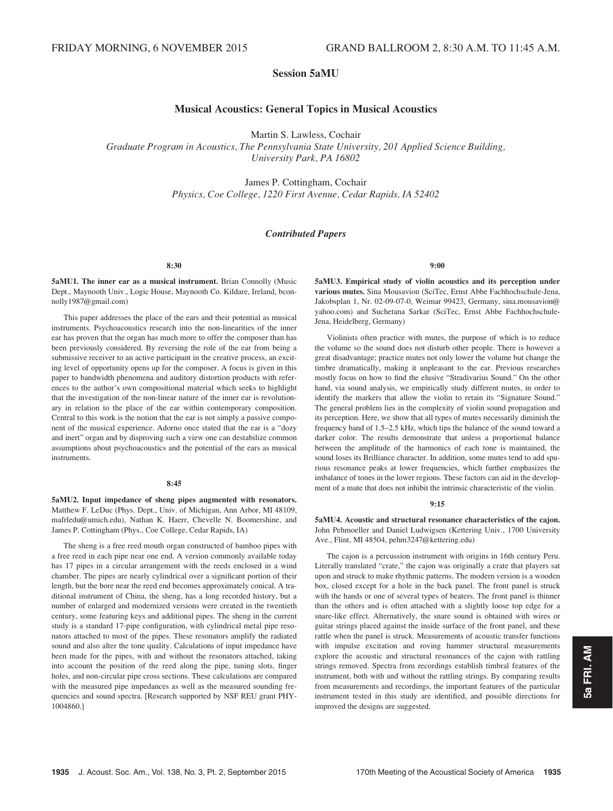# Session 5aMU

# Musical Acoustics: General Topics in Musical Acoustics

Martin S. Lawless, Cochair

Graduate Program in Acoustics, The Pennsylvania State University, 201 Applied Science Building, University Park, PA 16802

> James P. Cottingham, Cochair Physics, Coe College, 1220 First Avenue, Cedar Rapids, IA 52402

## Contributed Papers

8:30

5aMU1. The inner ear as a musical instrument. Brian Connolly (Music Dept., Maynooth Univ., Logic House, Maynooth Co. Kildare, Ireland, bconnolly1987@gmail.com)

This paper addresses the place of the ears and their potential as musical instruments. Psychoacoustics research into the non-linearities of the inner ear has proven that the organ has much more to offer the composer than has been previously considered. By reversing the role of the ear from being a submissive receiver to an active participant in the creative process, an exciting level of opportunity opens up for the composer. A focus is given in this paper to bandwidth phenomena and auditory distortion products with references to the author's own compositional material which seeks to highlight that the investigation of the non-linear nature of the inner ear is revolutionary in relation to the place of the ear within contemporary composition. Central to this work is the notion that the ear is not simply a passive component of the musical experience. Adorno once stated that the ear is a "dozy and inert" organ and by disproving such a view one can destabilize common assumptions about psychoacoustics and the potential of the ears as musical instruments.

#### 8:45

5aMU2. Input impedance of sheng pipes augmented with resonators. Matthew F. LeDuc (Phys. Dept., Univ. of Michigan, Ann Arbor, MI 48109, mafrledu@umich.edu), Nathan K. Haerr, Chevelle N. Boomershine, and James P. Cottingham (Phys., Coe College, Cedar Rapids, IA)

The sheng is a free reed mouth organ constructed of bamboo pipes with a free reed in each pipe near one end. A version commonly available today has 17 pipes in a circular arrangement with the reeds enclosed in a wind chamber. The pipes are nearly cylindrical over a significant portion of their length, but the bore near the reed end becomes approximately conical. A traditional instrument of China, the sheng, has a long recorded history, but a number of enlarged and modernized versions were created in the twentieth century, some featuring keys and additional pipes. The sheng in the current study is a standard 17-pipe configuration, with cylindrical metal pipe resonators attached to most of the pipes. These resonators amplify the radiated sound and also alter the tone quality. Calculations of input impedance have been made for the pipes, with and without the resonators attached, taking into account the position of the reed along the pipe, tuning slots, finger holes, and non-circular pipe cross sections. These calculations are compared with the measured pipe impedances as well as the measured sounding frequencies and sound spectra. [Research supported by NSF REU grant PHY-1004860.]

9:00

5aMU3. Empirical study of violin acoustics and its perception under various mutes. Sina Mousavion (SciTec, Ernst Abbe Fachhochschule-Jena, Jakobsplan 1, Nr. 02-09-07-0, Weimar 99423, Germany, sina.mousavion@ yahoo.com) and Suchetana Sarkar (SciTec, Ernst Abbe Fachhochschule-Jena, Heidelberg, Germany)

Violinists often practice with mutes, the purpose of which is to reduce the volume so the sound does not disturb other people. There is however a great disadvantage; practice mutes not only lower the volume but change the timbre dramatically, making it unpleasant to the ear. Previous researches mostly focus on how to find the elusive "Stradivarius Sound." On the other hand, via sound analysis, we empirically study different mutes, in order to identify the markers that allow the violin to retain its "Signature Sound." The general problem lies in the complexity of violin sound propagation and its perception. Here, we show that all types of mutes necessarily diminish the frequency band of 1.5–2.5 kHz, which tips the balance of the sound toward a darker color. The results demonstrate that unless a proportional balance between the amplitude of the harmonics of each tone is maintained, the sound loses its Brilliance character. In addition, some mutes tend to add spurious resonance peaks at lower frequencies, which further emphasizes the imbalance of tones in the lower regions. These factors can aid in the development of a mute that does not inhibit the intrinsic characteristic of the violin.

## 9:15

5aMU4. Acoustic and structural resonance characteristics of the cajon. John Pehmoeller and Daniel Ludwigsen (Kettering Univ., 1700 University Ave., Flint, MI 48504, pehm3247@kettering.edu)

The cajon is a percussion instrument with origins in 16th century Peru. Literally translated "crate," the cajon was originally a crate that players sat upon and struck to make rhythmic patterns. The modern version is a wooden box, closed except for a hole in the back panel. The front panel is struck with the hands or one of several types of beaters. The front panel is thinner than the others and is often attached with a slightly loose top edge for a snare-like effect. Alternatively, the snare sound is obtained with wires or guitar strings placed against the inside surface of the front panel, and these rattle when the panel is struck. Measurements of acoustic transfer functions with impulse excitation and roving hammer structural measurements explore the acoustic and structural resonances of the cajon with rattling strings removed. Spectra from recordings establish timbral features of the instrument, both with and without the rattling strings. By comparing results from measurements and recordings, the important features of the particular instrument tested in this study are identified, and possible directions for improved the designs are suggested.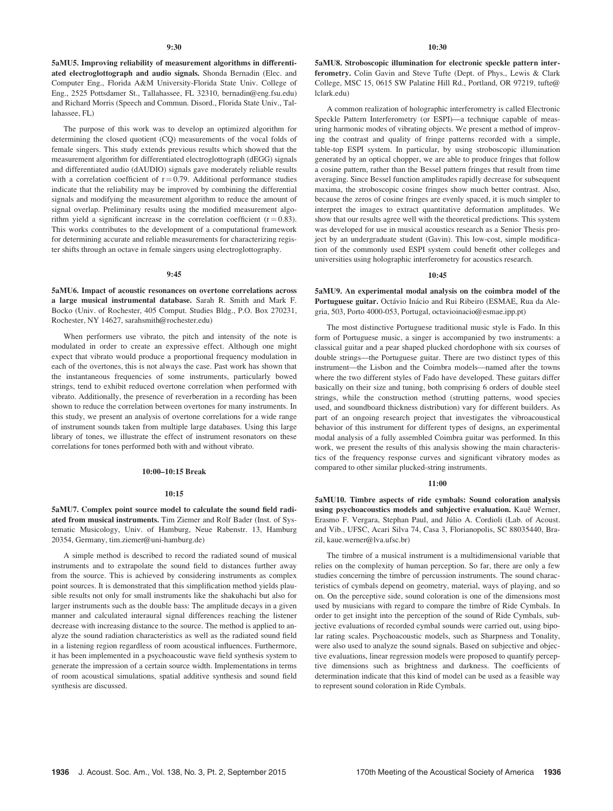5aMU5. Improving reliability of measurement algorithms in differentiated electroglottograph and audio signals. Shonda Bernadin (Elec. and Computer Eng., Florida A&M University-Florida State Univ. College of Eng., 2525 Pottsdamer St., Tallahassee, FL 32310, bernadin@eng.fsu.edu) and Richard Morris (Speech and Commun. Disord., Florida State Univ., Tallahassee, FL)

The purpose of this work was to develop an optimized algorithm for determining the closed quotient (CQ) measurements of the vocal folds of female singers. This study extends previous results which showed that the measurement algorithm for differentiated electroglottograph (dEGG) signals and differentiated audio (dAUDIO) signals gave moderately reliable results with a correlation coefficient of  $r = 0.79$ . Additional performance studies indicate that the reliability may be improved by combining the differential signals and modifying the measurement algorithm to reduce the amount of signal overlap. Preliminary results using the modified measurement algorithm yield a significant increase in the correlation coefficient  $(r = 0.83)$ . This works contributes to the development of a computational framework for determining accurate and reliable measurements for characterizing register shifts through an octave in female singers using electroglottography.

## 9:45

5aMU6. Impact of acoustic resonances on overtone correlations across a large musical instrumental database. Sarah R. Smith and Mark F. Bocko (Univ. of Rochester, 405 Comput. Studies Bldg., P.O. Box 270231, Rochester, NY 14627, sarahsmith@rochester.edu)

When performers use vibrato, the pitch and intensity of the note is modulated in order to create an expressive effect. Although one might expect that vibrato would produce a proportional frequency modulation in each of the overtones, this is not always the case. Past work has shown that the instantaneous frequencies of some instruments, particularly bowed strings, tend to exhibit reduced overtone correlation when performed with vibrato. Additionally, the presence of reverberation in a recording has been shown to reduce the correlation between overtones for many instruments. In this study, we present an analysis of overtone correlations for a wide range of instrument sounds taken from multiple large databases. Using this large library of tones, we illustrate the effect of instrument resonators on these correlations for tones performed both with and without vibrato.

## 10:00–10:15 Break

#### 10:15

5aMU7. Complex point source model to calculate the sound field radiated from musical instruments. Tim Ziemer and Rolf Bader (Inst. of Systematic Musicology, Univ. of Hamburg, Neue Rabenstr. 13, Hamburg 20354, Germany, tim.ziemer@uni-hamburg.de)

A simple method is described to record the radiated sound of musical instruments and to extrapolate the sound field to distances further away from the source. This is achieved by considering instruments as complex point sources. It is demonstrated that this simplification method yields plausible results not only for small instruments like the shakuhachi but also for larger instruments such as the double bass: The amplitude decays in a given manner and calculated interaural signal differences reaching the listener decrease with increasing distance to the source. The method is applied to analyze the sound radiation characteristics as well as the radiated sound field in a listening region regardless of room acoustical influences. Furthermore, it has been implemented in a psychoacoustic wave field synthesis system to generate the impression of a certain source width. Implementations in terms of room acoustical simulations, spatial additive synthesis and sound field synthesis are discussed.

5aMU8. Stroboscopic illumination for electronic speckle pattern interferometry. Colin Gavin and Steve Tufte (Dept. of Phys., Lewis & Clark College, MSC 15, 0615 SW Palatine Hill Rd., Portland, OR 97219, tufte@ lclark.edu)

A common realization of holographic interferometry is called Electronic Speckle Pattern Interferometry (or ESPI)—a technique capable of measuring harmonic modes of vibrating objects. We present a method of improving the contrast and quality of fringe patterns recorded with a simple, table-top ESPI system. In particular, by using stroboscopic illumination generated by an optical chopper, we are able to produce fringes that follow a cosine pattern, rather than the Bessel pattern fringes that result from time averaging. Since Bessel function amplitudes rapidly decrease for subsequent maxima, the stroboscopic cosine fringes show much better contrast. Also, because the zeros of cosine fringes are evenly spaced, it is much simpler to interpret the images to extract quantitative deformation amplitudes. We show that our results agree well with the theoretical predictions. This system was developed for use in musical acoustics research as a Senior Thesis project by an undergraduate student (Gavin). This low-cost, simple modification of the commonly used ESPI system could benefit other colleges and universities using holographic interferometry for acoustics research.

## $10.45$

5aMU9. An experimental modal analysis on the coimbra model of the Portuguese guitar. Octávio Inácio and Rui Ribeiro (ESMAE, Rua da Alegria, 503, Porto 4000-053, Portugal, octavioinacio@esmae.ipp.pt)

The most distinctive Portuguese traditional music style is Fado. In this form of Portuguese music, a singer is accompanied by two instruments: a classical guitar and a pear shaped plucked chordophone with six courses of double strings—the Portuguese guitar. There are two distinct types of this instrument—the Lisbon and the Coimbra models—named after the towns where the two different styles of Fado have developed. These guitars differ basically on their size and tuning, both comprising 6 orders of double steel strings, while the construction method (strutting patterns, wood species used, and soundboard thickness distribution) vary for different builders. As part of an ongoing research project that investigates the vibroacoustical behavior of this instrument for different types of designs, an experimental modal analysis of a fully assembled Coimbra guitar was performed. In this work, we present the results of this analysis showing the main characteristics of the frequency response curves and significant vibratory modes as compared to other similar plucked-string instruments.

## 11:00

5aMU10. Timbre aspects of ride cymbals: Sound coloration analysis using psychoacoustics models and subjective evaluation. Kauê Werner, Erasmo F. Vergara, Stephan Paul, and Júlio A. Cordioli (Lab. of Acoust. and Vib., UFSC, Acari Silva 74, Casa 3, Florianopolis, SC 88035440, Brazil, kaue.werner@lva.ufsc.br)

The timbre of a musical instrument is a multidimensional variable that relies on the complexity of human perception. So far, there are only a few studies concerning the timbre of percussion instruments. The sound characteristics of cymbals depend on geometry, material, ways of playing, and so on. On the perceptive side, sound coloration is one of the dimensions most used by musicians with regard to compare the timbre of Ride Cymbals. In order to get insight into the perception of the sound of Ride Cymbals, subjective evaluations of recorded cymbal sounds were carried out, using bipolar rating scales. Psychoacoustic models, such as Sharpness and Tonality, were also used to analyze the sound signals. Based on subjective and objective evaluations, linear regression models were proposed to quantify perceptive dimensions such as brightness and darkness. The coefficients of determination indicate that this kind of model can be used as a feasible way to represent sound coloration in Ride Cymbals.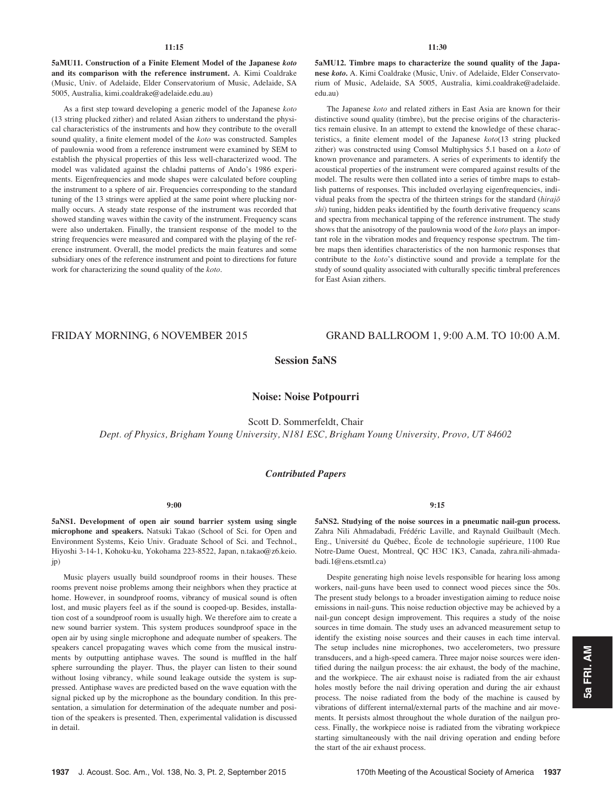## 11:15

5aMU11. Construction of a Finite Element Model of the Japanese koto and its comparison with the reference instrument. A. Kimi Coaldrake (Music, Univ. of Adelaide, Elder Conservatorium of Music, Adelaide, SA 5005, Australia, kimi.coaldrake@adelaide.edu.au)

As a first step toward developing a generic model of the Japanese koto (13 string plucked zither) and related Asian zithers to understand the physical characteristics of the instruments and how they contribute to the overall sound quality, a finite element model of the koto was constructed. Samples of paulownia wood from a reference instrument were examined by SEM to establish the physical properties of this less well-characterized wood. The model was validated against the chladni patterns of Ando's 1986 experiments. Eigenfrequencies and mode shapes were calculated before coupling the instrument to a sphere of air. Frequencies corresponding to the standard tuning of the 13 strings were applied at the same point where plucking normally occurs. A steady state response of the instrument was recorded that showed standing waves within the cavity of the instrument. Frequency scans were also undertaken. Finally, the transient response of the model to the string frequencies were measured and compared with the playing of the reference instrument. Overall, the model predicts the main features and some subsidiary ones of the reference instrument and point to directions for future work for characterizing the sound quality of the koto.

5aMU12. Timbre maps to characterize the sound quality of the Japanese koto. A. Kimi Coaldrake (Music, Univ. of Adelaide, Elder Conservatorium of Music, Adelaide, SA 5005, Australia, kimi.coaldrake@adelaide. edu.au)

The Japanese koto and related zithers in East Asia are known for their distinctive sound quality (timbre), but the precise origins of the characteristics remain elusive. In an attempt to extend the knowledge of these characteristics, a finite element model of the Japanese koto(13 string plucked zither) was constructed using Comsol Multiphysics 5.1 based on a koto of known provenance and parameters. A series of experiments to identify the acoustical properties of the instrument were compared against results of the model. The results were then collated into a series of timbre maps to establish patterns of responses. This included overlaying eigenfrequencies, individual peaks from the spectra of the thirteen strings for the standard (hirajo $\bar{o}$ shi) tuning, hidden peaks identified by the fourth derivative frequency scans and spectra from mechanical tapping of the reference instrument. The study shows that the anisotropy of the paulownia wood of the koto plays an important role in the vibration modes and frequency response spectrum. The timbre maps then identifies characteristics of the non harmonic responses that contribute to the koto's distinctive sound and provide a template for the study of sound quality associated with culturally specific timbral preferences for East Asian zithers.

# FRIDAY MORNING, 6 NOVEMBER 2015 GRAND BALLROOM 1, 9:00 A.M. TO 10:00 A.M.

# Session 5aNS

# Noise: Noise Potpourri

Scott D. Sommerfeldt, Chair Dept. of Physics, Brigham Young University, N181 ESC, Brigham Young University, Provo, UT 84602

## Contributed Papers

# 9:00

5aNS1. Development of open air sound barrier system using single microphone and speakers. Natsuki Takao (School of Sci. for Open and Environment Systems, Keio Univ. Graduate School of Sci. and Technol., Hiyoshi 3-14-1, Kohoku-ku, Yokohama 223-8522, Japan, n.takao@z6.keio. jp)

Music players usually build soundproof rooms in their houses. These rooms prevent noise problems among their neighbors when they practice at home. However, in soundproof rooms, vibrancy of musical sound is often lost, and music players feel as if the sound is cooped-up. Besides, installation cost of a soundproof room is usually high. We therefore aim to create a new sound barrier system. This system produces soundproof space in the open air by using single microphone and adequate number of speakers. The speakers cancel propagating waves which come from the musical instruments by outputting antiphase waves. The sound is muffled in the half sphere surrounding the player. Thus, the player can listen to their sound without losing vibrancy, while sound leakage outside the system is suppressed. Antiphase waves are predicted based on the wave equation with the signal picked up by the microphone as the boundary condition. In this presentation, a simulation for determination of the adequate number and position of the speakers is presented. Then, experimental validation is discussed in detail.

# 9:15

5aNS2. Studying of the noise sources in a pneumatic nail-gun process. Zahra Nili Ahmadabadi, Frédéric Laville, and Raynald Guilbault (Mech. Eng., Université du Québec, École de technologie supérieure, 1100 Rue Notre-Dame Ouest, Montreal, QC H3C 1K3, Canada, zahra.nili-ahmadabadi.1@ens.etsmtl.ca)

Despite generating high noise levels responsible for hearing loss among workers, nail-guns have been used to connect wood pieces since the 50s. The present study belongs to a broader investigation aiming to reduce noise emissions in nail-guns. This noise reduction objective may be achieved by a nail-gun concept design improvement. This requires a study of the noise sources in time domain. The study uses an advanced measurement setup to identify the existing noise sources and their causes in each time interval. The setup includes nine microphones, two accelerometers, two pressure transducers, and a high-speed camera. Three major noise sources were identified during the nailgun process: the air exhaust, the body of the machine, and the workpiece. The air exhaust noise is radiated from the air exhaust holes mostly before the nail driving operation and during the air exhaust process. The noise radiated from the body of the machine is caused by vibrations of different internal/external parts of the machine and air movements. It persists almost throughout the whole duration of the nailgun process. Finally, the workpiece noise is radiated from the vibrating workpiece starting simultaneously with the nail driving operation and ending before the start of the air exhaust process.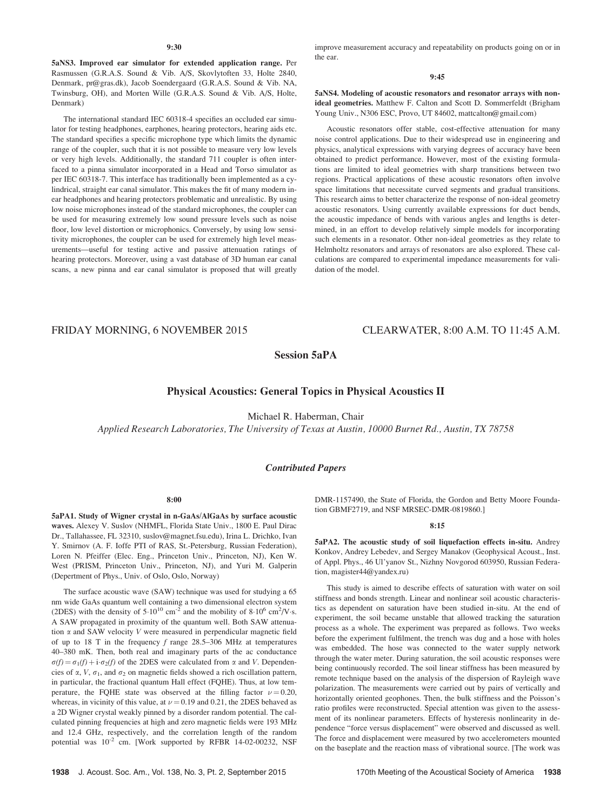5aNS3. Improved ear simulator for extended application range. Per Rasmussen (G.R.A.S. Sound & Vib. A/S, Skovlytoften 33, Holte 2840, Denmark, pr@gras.dk), Jacob Soendergaard (G.R.A.S. Sound & Vib. NA, Twinsburg, OH), and Morten Wille (G.R.A.S. Sound & Vib. A/S, Holte, Denmark)

The international standard IEC 60318-4 specifies an occluded ear simulator for testing headphones, earphones, hearing protectors, hearing aids etc. The standard specifies a specific microphone type which limits the dynamic range of the coupler, such that it is not possible to measure very low levels or very high levels. Additionally, the standard 711 coupler is often interfaced to a pinna simulator incorporated in a Head and Torso simulator as per IEC 60318-7. This interface has traditionally been implemented as a cylindrical, straight ear canal simulator. This makes the fit of many modern inear headphones and hearing protectors problematic and unrealistic. By using low noise microphones instead of the standard microphones, the coupler can be used for measuring extremely low sound pressure levels such as noise floor, low level distortion or microphonics. Conversely, by using low sensitivity microphones, the coupler can be used for extremely high level measurements—useful for testing active and passive attenuation ratings of hearing protectors. Moreover, using a vast database of 3D human ear canal scans, a new pinna and ear canal simulator is proposed that will greatly improve measurement accuracy and repeatability on products going on or in the ear.

#### 9:45

5aNS4. Modeling of acoustic resonators and resonator arrays with nonideal geometries. Matthew F. Calton and Scott D. Sommerfeldt (Brigham Young Univ., N306 ESC, Provo, UT 84602, mattcalton@gmail.com)

Acoustic resonators offer stable, cost-effective attenuation for many noise control applications. Due to their widespread use in engineering and physics, analytical expressions with varying degrees of accuracy have been obtained to predict performance. However, most of the existing formulations are limited to ideal geometries with sharp transitions between two regions. Practical applications of these acoustic resonators often involve space limitations that necessitate curved segments and gradual transitions. This research aims to better characterize the response of non-ideal geometry acoustic resonators. Using currently available expressions for duct bends, the acoustic impedance of bends with various angles and lengths is determined, in an effort to develop relatively simple models for incorporating such elements in a resonator. Other non-ideal geometries as they relate to Helmholtz resonators and arrays of resonators are also explored. These calculations are compared to experimental impedance measurements for validation of the model.

# FRIDAY MORNING, 6 NOVEMBER 2015 CLEARWATER, 8:00 A.M. TO 11:45 A.M.

# Session 5aPA

# Physical Acoustics: General Topics in Physical Acoustics II

Michael R. Haberman, Chair

Applied Research Laboratories, The University of Texas at Austin, 10000 Burnet Rd., Austin, TX 78758

## Contributed Papers

#### 8:00

5aPA1. Study of Wigner crystal in n-GaAs/AlGaAs by surface acoustic waves. Alexey V. Suslov (NHMFL, Florida State Univ., 1800 E. Paul Dirac Dr., Tallahassee, FL 32310, suslov@magnet.fsu.edu), Irina L. Drichko, Ivan Y. Smirnov (A. F. Ioffe PTI of RAS, St.-Petersburg, Russian Federation), Loren N. Pfeiffer (Elec. Eng., Princeton Univ., Princeton, NJ), Ken W. West (PRISM, Princeton Univ., Princeton, NJ), and Yuri M. Galperin (Depertment of Phys., Univ. of Oslo, Oslo, Norway)

The surface acoustic wave (SAW) technique was used for studying a 65 nm wide GaAs quantum well containing a two dimensional electron system (2DES) with the density of  $5.10^{10}$  cm<sup>-2</sup> and the mobility of  $8.10^6$  cm<sup>2</sup>/V·s. A SAW propagated in proximity of the quantum well. Both SAW attenuation  $\alpha$  and SAW velocity  $V$  were measured in perpendicular magnetic field of up to 18 T in the frequency  $f$  range 28.5–306 MHz at temperatures 40–380 mK. Then, both real and imaginary parts of the ac conductance  $\sigma(f) = \sigma_1(f) + i \cdot \sigma_2(f)$  of the 2DES were calculated from  $\alpha$  and V. Dependencies of  $\alpha$ ,  $V$ ,  $\sigma_1$ , and  $\sigma_2$  on magnetic fields showed a rich oscillation pattern, in particular, the fractional quantum Hall effect (FQHE). Thus, at low temperature, the FQHE state was observed at the filling factor  $\nu = 0.20$ , whereas, in vicinity of this value, at  $\nu = 0.19$  and 0.21, the 2DES behaved as a 2D Wigner crystal weakly pinned by a disorder random potential. The calculated pinning frequencies at high and zero magnetic fields were 193 MHz and 12.4 GHz, respectively, and the correlation length of the random potential was  $10^{-2}$  cm. [Work supported by RFBR 14-02-00232, NSF DMR-1157490, the State of Florida, the Gordon and Betty Moore Foundation GBMF2719, and NSF MRSEC-DMR-0819860.]

## 8:15

5aPA2. The acoustic study of soil liquefaction effects in-situ. Andrey Konkov, Andrey Lebedev, and Sergey Manakov (Geophysical Acoust., Inst. of Appl. Phys., 46 Ul'yanov St., Nizhny Novgorod 603950, Russian Federation, magister44@yandex.ru)

This study is aimed to describe effects of saturation with water on soil stiffness and bonds strength. Linear and nonlinear soil acoustic characteristics as dependent on saturation have been studied in-situ. At the end of experiment, the soil became unstable that allowed tracking the saturation process as a whole. The experiment was prepared as follows. Two weeks before the experiment fulfilment, the trench was dug and a hose with holes was embedded. The hose was connected to the water supply network through the water meter. During saturation, the soil acoustic responses were being continuously recorded. The soil linear stiffness has been measured by remote technique based on the analysis of the dispersion of Rayleigh wave polarization. The measurements were carried out by pairs of vertically and horizontally oriented geophones. Then, the bulk stiffness and the Poisson's ratio profiles were reconstructed. Special attention was given to the assessment of its nonlinear parameters. Effects of hysteresis nonlinearity in dependence "force versus displacement" were observed and discussed as well. The force and displacement were measured by two accelerometers mounted on the baseplate and the reaction mass of vibrational source. [The work was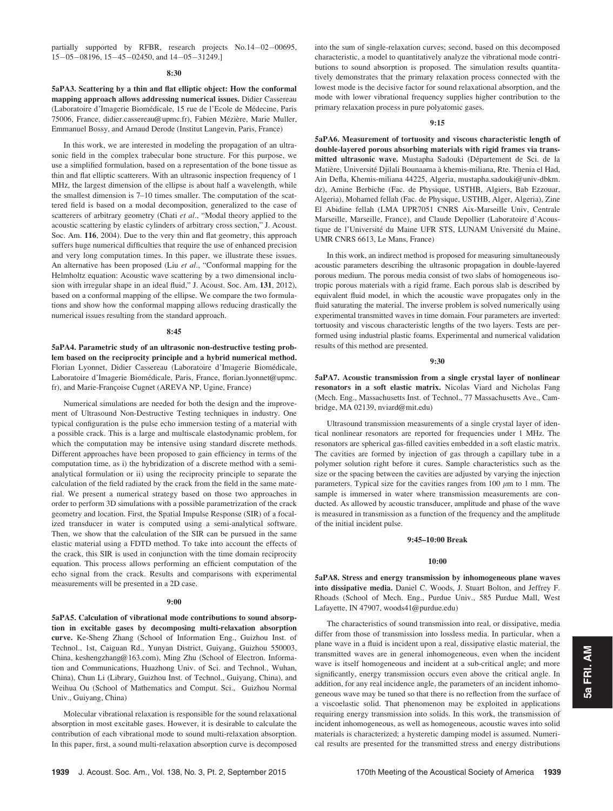partially supported by RFBR, research projects  $No.14-02-00695$ ,  $15-05-08196$ ,  $15-45-02450$ , and  $14-05-31249$ .]

#### 8:30

5aPA3. Scattering by a thin and flat elliptic object: How the conformal mapping approach allows addressing numerical issues. Didier Cassereau (Laboratoire d'Imagerie Biomédicale, 15 rue de l'Ecole de Médecine, Paris 75006, France, didier.cassereau@upmc.fr), Fabien Mézière, Marie Muller, Emmanuel Bossy, and Arnaud Derode (Institut Langevin, Paris, France)

In this work, we are interested in modeling the propagation of an ultrasonic field in the complex trabecular bone structure. For this purpose, we use a simplified formulation, based on a representation of the bone tissue as thin and flat elliptic scatterers. With an ultrasonic inspection frequency of 1 MHz, the largest dimension of the ellipse is about half a wavelength, while the smallest dimension is 7–10 times smaller. The computation of the scattered field is based on a modal decomposition, generalized to the case of scatterers of arbitrary geometry (Chati et al., "Modal theory applied to the acoustic scattering by elastic cylinders of arbitrary cross section," J. Acoust. Soc. Am. 116, 2004). Due to the very thin and flat geometry, this approach suffers huge numerical difficulties that require the use of enhanced precision and very long computation times. In this paper, we illustrate these issues. An alternative has been proposed (Liu et al., "Conformal mapping for the Helmholtz equation: Acoustic wave scattering by a two dimensional inclusion with irregular shape in an ideal fluid," J. Acoust. Soc. Am. 131, 2012), based on a conformal mapping of the ellipse. We compare the two formulations and show how the conformal mapping allows reducing drastically the numerical issues resulting from the standard approach.

#### 8:45

5aPA4. Parametric study of an ultrasonic non-destructive testing problem based on the reciprocity principle and a hybrid numerical method. Florian Lyonnet, Didier Cassereau (Laboratoire d'Imagerie Biomédicale, Laboratoire d'Imagerie Biomédicale, Paris, France, florian.lyonnet@upmc. fr), and Marie-Françoise Cugnet (AREVA NP, Ugine, France)

Numerical simulations are needed for both the design and the improvement of Ultrasound Non-Destructive Testing techniques in industry. One typical configuration is the pulse echo immersion testing of a material with a possible crack. This is a large and multiscale elastodynamic problem, for which the computation may be intensive using standard discrete methods. Different approaches have been proposed to gain efficiency in terms of the computation time, as i) the hybridization of a discrete method with a semianalytical formulation or ii) using the reciprocity principle to separate the calculation of the field radiated by the crack from the field in the same material. We present a numerical strategy based on those two approaches in order to perform 3D simulations with a possible parametrization of the crack geometry and location. First, the Spatial Impulse Response (SIR) of a focalized transducer in water is computed using a semi-analytical software. Then, we show that the calculation of the SIR can be pursued in the same elastic material using a FDTD method. To take into account the effects of the crack, this SIR is used in conjunction with the time domain reciprocity equation. This process allows performing an efficient computation of the echo signal from the crack. Results and comparisons with experimental measurements will be presented in a 2D case.

#### 9:00

5aPA5. Calculation of vibrational mode contributions to sound absorption in excitable gases by decomposing multi-relaxation absorption curve. Ke-Sheng Zhang (School of Information Eng., Guizhou Inst. of Technol., 1st, Caiguan Rd., Yunyan District, Guiyang, Guizhou 550003, China, keshengzhang@163.com), Ming Zhu (School of Electron. Information and Communications, Huazhong Univ. of Sci. and Technol., Wuhan, China), Chun Li (Library, Guizhou Inst. of Technol., Guiyang, China), and Weihua Ou (School of Mathematics and Comput. Sci., Guizhou Normal Univ., Guiyang, China)

Molecular vibrational relaxation is responsible for the sound relaxational absorption in most excitable gases. However, it is desirable to calculate the contribution of each vibrational mode to sound multi-relaxation absorption. In this paper, first, a sound multi-relaxation absorption curve is decomposed into the sum of single-relaxation curves; second, based on this decomposed characteristic, a model to quantitatively analyze the vibrational mode contributions to sound absorption is proposed. The simulation results quantitatively demonstrates that the primary relaxation process connected with the lowest mode is the decisive factor for sound relaxational absorption, and the mode with lower vibrational frequency supplies higher contribution to the primary relaxation process in pure polyatomic gases.

#### 9:15

5aPA6. Measurement of tortuosity and viscous characteristic length of double-layered porous absorbing materials with rigid frames via transmitted ultrasonic wave. Mustapha Sadouki (Département de Sci. de la Matière, Université Djilali Bounaama à khemis-miliana, Rte. Thenia el Had, Ain Defla, Khemis-miliana 44225, Algeria, mustapha.sadouki@univ-dbkm. dz), Amine Berbiche (Fac. de Physique, USTHB, Algiers, Bab Ezzouar, Algeria), Mohamed fellah (Fac. de Physique, USTHB, Alger, Algeria), Zine El Abidine fellah (LMA UPR7051 CNRS Aix-Marseille Univ, Centrale Marseille, Marseille, France), and Claude Depollier (Laboratoire d'Acoustique de l'Université du Maine UFR STS, LUNAM Université du Maine, UMR CNRS 6613, Le Mans, France)

In this work, an indirect method is proposed for measuring simultaneously acoustic parameters describing the ultrasonic propagation in double-layered porous medium. The porous media consist of two slabs of homogeneous isotropic porous materials with a rigid frame. Each porous slab is described by equivalent fluid model, in which the acoustic wave propagates only in the fluid saturating the material. The inverse problem is solved numerically using experimental transmitted waves in time domain. Four parameters are inverted: tortuosity and viscous characteristic lengths of the two layers. Tests are performed using industrial plastic foams. Experimental and numerical validation results of this method are presented.

#### 9:30

5aPA7. Acoustic transmission from a single crystal layer of nonlinear resonators in a soft elastic matrix. Nicolas Viard and Nicholas Fang (Mech. Eng., Massachusetts Inst. of Technol., 77 Massachusetts Ave., Cambridge, MA 02139, nviard@mit.edu)

Ultrasound transmission measurements of a single crystal layer of identical nonlinear resonators are reported for frequencies under 1 MHz. The resonators are spherical gas-filled cavities embedded in a soft elastic matrix. The cavities are formed by injection of gas through a capillary tube in a polymer solution right before it cures. Sample characteristics such as the size or the spacing between the cavities are adjusted by varying the injection parameters. Typical size for the cavities ranges from 100  $\mu$ m to 1 mm. The sample is immersed in water where transmission measurements are conducted. As allowed by acoustic transducer, amplitude and phase of the wave is measured in transmission as a function of the frequency and the amplitude of the initial incident pulse.

## 9:45–10:00 Break

## 10:00

5aPA8. Stress and energy transmission by inhomogeneous plane waves into dissipative media. Daniel C. Woods, J. Stuart Bolton, and Jeffrey F. Rhoads (School of Mech. Eng., Purdue Univ., 585 Purdue Mall, West Lafayette, IN 47907, woods41@purdue.edu)

The characteristics of sound transmission into real, or dissipative, media differ from those of transmission into lossless media. In particular, when a plane wave in a fluid is incident upon a real, dissipative elastic material, the transmitted waves are in general inhomogeneous, even when the incident wave is itself homogeneous and incident at a sub-critical angle; and more significantly, energy transmission occurs even above the critical angle. In addition, for any real incidence angle, the parameters of an incident inhomogeneous wave may be tuned so that there is no reflection from the surface of a viscoelastic solid. That phenomenon may be exploited in applications requiring energy transmission into solids. In this work, the transmission of incident inhomogeneous, as well as homogeneous, acoustic waves into solid materials is characterized; a hysteretic damping model is assumed. Numerical results are presented for the transmitted stress and energy distributions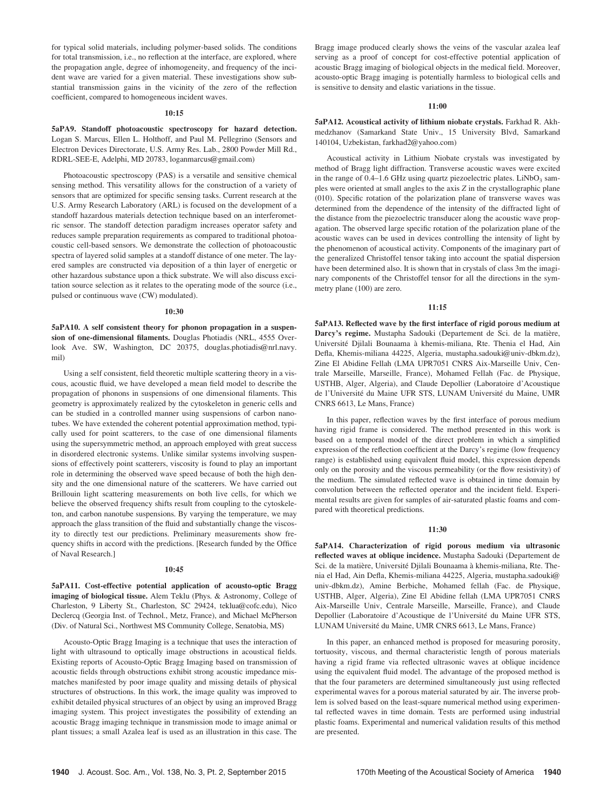for typical solid materials, including polymer-based solids. The conditions for total transmission, i.e., no reflection at the interface, are explored, where the propagation angle, degree of inhomogeneity, and frequency of the incident wave are varied for a given material. These investigations show substantial transmission gains in the vicinity of the zero of the reflection coefficient, compared to homogeneous incident waves.

## $10.15$

5aPA9. Standoff photoacoustic spectroscopy for hazard detection. Logan S. Marcus, Ellen L. Holthoff, and Paul M. Pellegrino (Sensors and Electron Devices Directorate, U.S. Army Res. Lab., 2800 Powder Mill Rd., RDRL-SEE-E, Adelphi, MD 20783, loganmarcus@gmail.com)

Photoacoustic spectroscopy (PAS) is a versatile and sensitive chemical sensing method. This versatility allows for the construction of a variety of sensors that are optimized for specific sensing tasks. Current research at the U.S. Army Research Laboratory (ARL) is focused on the development of a standoff hazardous materials detection technique based on an interferometric sensor. The standoff detection paradigm increases operator safety and reduces sample preparation requirements as compared to traditional photoacoustic cell-based sensors. We demonstrate the collection of photoacoustic spectra of layered solid samples at a standoff distance of one meter. The layered samples are constructed via deposition of a thin layer of energetic or other hazardous substance upon a thick substrate. We will also discuss excitation source selection as it relates to the operating mode of the source (i.e., pulsed or continuous wave (CW) modulated).

#### 10:30

5aPA10. A self consistent theory for phonon propagation in a suspension of one-dimensional filaments. Douglas Photiadis (NRL, 4555 Overlook Ave. SW, Washington, DC 20375, douglas.photiadis@nrl.navy. mil)

Using a self consistent, field theoretic multiple scattering theory in a viscous, acoustic fluid, we have developed a mean field model to describe the propagation of phonons in suspensions of one dimensional filaments. This geometry is approximately realized by the cytoskeleton in generic cells and can be studied in a controlled manner using suspensions of carbon nanotubes. We have extended the coherent potential approximation method, typically used for point scatterers, to the case of one dimensional filaments using the supersymmetric method, an approach employed with great success in disordered electronic systems. Unlike similar systems involving suspensions of effectively point scatterers, viscosity is found to play an important role in determining the observed wave speed because of both the high density and the one dimensional nature of the scatterers. We have carried out Brillouin light scattering measurements on both live cells, for which we believe the observed frequency shifts result from coupling to the cytoskeleton, and carbon nanotube suspensions. By varying the temperature, we may approach the glass transition of the fluid and substantially change the viscosity to directly test our predictions. Preliminary measurements show frequency shifts in accord with the predictions. [Research funded by the Office of Naval Research.]

#### 10:45

5aPA11. Cost-effective potential application of acousto-optic Bragg imaging of biological tissue. Alem Teklu (Phys. & Astronomy, College of Charleston, 9 Liberty St., Charleston, SC 29424, teklua@cofc.edu), Nico Declercq (Georgia Inst. of Technol., Metz, France), and Michael McPherson (Div. of Natural Sci., Northwest MS Community College, Senatobia, MS)

Acousto-Optic Bragg Imaging is a technique that uses the interaction of light with ultrasound to optically image obstructions in acoustical fields. Existing reports of Acousto-Optic Bragg Imaging based on transmission of acoustic fields through obstructions exhibit strong acoustic impedance mismatches manifested by poor image quality and missing details of physical structures of obstructions. In this work, the image quality was improved to exhibit detailed physical structures of an object by using an improved Bragg imaging system. This project investigates the possibility of extending an acoustic Bragg imaging technique in transmission mode to image animal or plant tissues; a small Azalea leaf is used as an illustration in this case. The Bragg image produced clearly shows the veins of the vascular azalea leaf serving as a proof of concept for cost-effective potential application of acoustic Bragg imaging of biological objects in the medical field. Moreover, acousto-optic Bragg imaging is potentially harmless to biological cells and is sensitive to density and elastic variations in the tissue.

## 11:00

5aPA12. Acoustical activity of lithium niobate crystals. Farkhad R. Akhmedzhanov (Samarkand State Univ., 15 University Blvd, Samarkand 140104, Uzbekistan, farkhad2@yahoo.com)

Acoustical activity in Lithium Niobate crystals was investigated by method of Bragg light diffraction. Transverse acoustic waves were excited in the range of  $0.4-1.6$  GHz using quartz piezoelectric plates. LiNbO<sub>3</sub> samples were oriented at small angles to the axis Z in the crystallographic plane (010). Specific rotation of the polarization plane of transverse waves was determined from the dependence of the intensity of the diffracted light of the distance from the piezoelectric transducer along the acoustic wave propagation. The observed large specific rotation of the polarization plane of the acoustic waves can be used in devices controlling the intensity of light by the phenomenon of acoustical activity. Components of the imaginary part of the generalized Christoffel tensor taking into account the spatial dispersion have been determined also. It is shown that in crystals of class 3m the imaginary components of the Christoffel tensor for all the directions in the symmetry plane (100) are zero.

#### 11:15

5aPA13. Reflected wave by the first interface of rigid porous medium at Darcy's regime. Mustapha Sadouki (Departement de Sci. de la matière, Université Djilali Bounaama à khemis-miliana, Rte. Thenia el Had, Ain Defla, Khemis-miliana 44225, Algeria, mustapha.sadouki@univ-dbkm.dz), Zine El Abidine Fellah (LMA UPR7051 CNRS Aix-Marseille Univ, Centrale Marseille, Marseille, France), Mohamed Fellah (Fac. de Physique, USTHB, Alger, Algeria), and Claude Depollier (Laboratoire d'Acoustique de l'Université du Maine UFR STS, LUNAM Université du Maine, UMR CNRS 6613, Le Mans, France)

In this paper, reflection waves by the first interface of porous medium having rigid frame is considered. The method presented in this work is based on a temporal model of the direct problem in which a simplified expression of the reflection coefficient at the Darcy's regime (low frequency range) is established using equivalent fluid model, this expression depends only on the porosity and the viscous permeability (or the flow resistivity) of the medium. The simulated reflected wave is obtained in time domain by convolution between the reflected operator and the incident field. Experimental results are given for samples of air-saturated plastic foams and compared with theoretical predictions.

#### 11:30

5aPA14. Characterization of rigid porous medium via ultrasonic reflected waves at oblique incidence. Mustapha Sadouki (Departement de Sci. de la matière, Université Djilali Bounaama à khemis-miliana, Rte. Thenia el Had, Ain Defla, Khemis-miliana 44225, Algeria, mustapha.sadouki@ univ-dbkm.dz), Amine Berbiche, Mohamed fellah (Fac. de Physique, USTHB, Alger, Algeria), Zine El Abidine fellah (LMA UPR7051 CNRS Aix-Marseille Univ, Centrale Marseille, Marseille, France), and Claude Depollier (Laboratoire d'Acoustique de l'Université du Maine UFR STS, LUNAM Université du Maine, UMR CNRS 6613, Le Mans, France)

In this paper, an enhanced method is proposed for measuring porosity, tortuosity, viscous, and thermal characteristic length of porous materials having a rigid frame via reflected ultrasonic waves at oblique incidence using the equivalent fluid model. The advantage of the proposed method is that the four parameters are determined simultaneously just using reflected experimental waves for a porous material saturated by air. The inverse problem is solved based on the least-square numerical method using experimental reflected waves in time domain. Tests are performed using industrial plastic foams. Experimental and numerical validation results of this method are presented.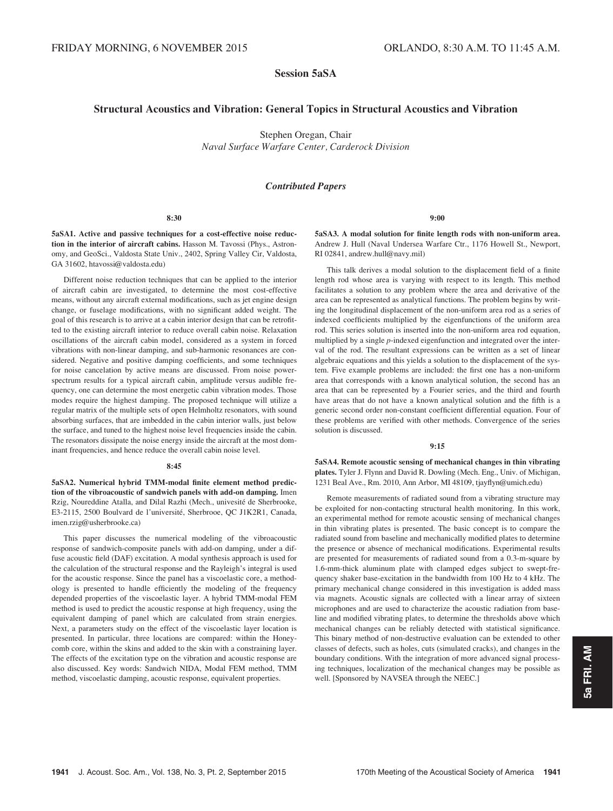# Session 5aSA

# Structural Acoustics and Vibration: General Topics in Structural Acoustics and Vibration

Stephen Oregan, Chair Naval Surface Warfare Center, Carderock Division

# Contributed Papers

#### 8:30

5aSA1. Active and passive techniques for a cost-effective noise reduction in the interior of aircraft cabins. Hasson M. Tavossi (Phys., Astronomy, and GeoSci., Valdosta State Univ., 2402, Spring Valley Cir, Valdosta, GA 31602, htavossi@valdosta.edu)

Different noise reduction techniques that can be applied to the interior of aircraft cabin are investigated, to determine the most cost-effective means, without any aircraft external modifications, such as jet engine design change, or fuselage modifications, with no significant added weight. The goal of this research is to arrive at a cabin interior design that can be retrofitted to the existing aircraft interior to reduce overall cabin noise. Relaxation oscillations of the aircraft cabin model, considered as a system in forced vibrations with non-linear damping, and sub-harmonic resonances are considered. Negative and positive damping coefficients, and some techniques for noise cancelation by active means are discussed. From noise powerspectrum results for a typical aircraft cabin, amplitude versus audible frequency, one can determine the most energetic cabin vibration modes. Those modes require the highest damping. The proposed technique will utilize a regular matrix of the multiple sets of open Helmholtz resonators, with sound absorbing surfaces, that are imbedded in the cabin interior walls, just below the surface, and tuned to the highest noise level frequencies inside the cabin. The resonators dissipate the noise energy inside the aircraft at the most dominant frequencies, and hence reduce the overall cabin noise level.

#### $8.45$

5aSA2. Numerical hybrid TMM-modal finite element method prediction of the vibroacoustic of sandwich panels with add-on damping. Imen Rzig, Noureddine Atalla, and Dilal Razhi (Mech., univesité de Sherbrooke, E3-2115, 2500 Boulvard de l'université, Sherbrooe, QC J1K2R1, Canada, imen.rzig@usherbrooke.ca)

This paper discusses the numerical modeling of the vibroacoustic response of sandwich-composite panels with add-on damping, under a diffuse acoustic field (DAF) excitation. A modal synthesis approach is used for the calculation of the structural response and the Rayleigh's integral is used for the acoustic response. Since the panel has a viscoelastic core, a methodology is presented to handle efficiently the modeling of the frequency depended properties of the viscoelastic layer. A hybrid TMM-modal FEM method is used to predict the acoustic response at high frequency, using the equivalent damping of panel which are calculated from strain energies. Next, a parameters study on the effect of the viscoelastic layer location is presented. In particular, three locations are compared: within the Honeycomb core, within the skins and added to the skin with a constraining layer. The effects of the excitation type on the vibration and acoustic response are also discussed. Key words: Sandwich NIDA, Modal FEM method, TMM method, viscoelastic damping, acoustic response, equivalent properties.

9:00

5aSA3. A modal solution for finite length rods with non-uniform area. Andrew J. Hull (Naval Undersea Warfare Ctr., 1176 Howell St., Newport, RI 02841, andrew.hull@navy.mil)

This talk derives a modal solution to the displacement field of a finite length rod whose area is varying with respect to its length. This method facilitates a solution to any problem where the area and derivative of the area can be represented as analytical functions. The problem begins by writing the longitudinal displacement of the non-uniform area rod as a series of indexed coefficients multiplied by the eigenfunctions of the uniform area rod. This series solution is inserted into the non-uniform area rod equation, multiplied by a single p-indexed eigenfunction and integrated over the interval of the rod. The resultant expressions can be written as a set of linear algebraic equations and this yields a solution to the displacement of the system. Five example problems are included: the first one has a non-uniform area that corresponds with a known analytical solution, the second has an area that can be represented by a Fourier series, and the third and fourth have areas that do not have a known analytical solution and the fifth is a generic second order non-constant coefficient differential equation. Four of these problems are verified with other methods. Convergence of the series solution is discussed.

### 9:15

5aSA4. Remote acoustic sensing of mechanical changes in thin vibrating plates. Tyler J. Flynn and David R. Dowling (Mech. Eng., Univ. of Michigan, 1231 Beal Ave., Rm. 2010, Ann Arbor, MI 48109, tjayflyn@umich.edu)

Remote measurements of radiated sound from a vibrating structure may be exploited for non-contacting structural health monitoring. In this work, an experimental method for remote acoustic sensing of mechanical changes in thin vibrating plates is presented. The basic concept is to compare the radiated sound from baseline and mechanically modified plates to determine the presence or absence of mechanical modifications. Experimental results are presented for measurements of radiated sound from a 0.3-m-square by 1.6-mm-thick aluminum plate with clamped edges subject to swept-frequency shaker base-excitation in the bandwidth from 100 Hz to 4 kHz. The primary mechanical change considered in this investigation is added mass via magnets. Acoustic signals are collected with a linear array of sixteen microphones and are used to characterize the acoustic radiation from baseline and modified vibrating plates, to determine the thresholds above which mechanical changes can be reliably detected with statistical significance. This binary method of non-destructive evaluation can be extended to other classes of defects, such as holes, cuts (simulated cracks), and changes in the boundary conditions. With the integration of more advanced signal processing techniques, localization of the mechanical changes may be possible as well. [Sponsored by NAVSEA through the NEEC.]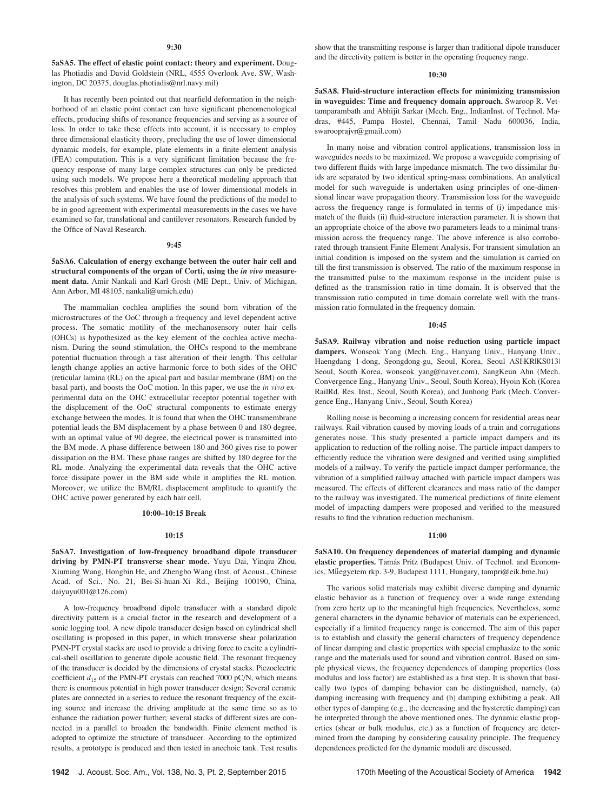5aSA5. The effect of elastic point contact: theory and experiment. Douglas Photiadis and David Goldstein (NRL, 4555 Overlook Ave. SW, Washington, DC 20375, douglas.photiadis@nrl.navy.mil)

It has recently been pointed out that nearfield deformation in the neighborhood of an elastic point contact can have significant phenomenological effects, producing shifts of resonance frequencies and serving as a source of loss. In order to take these effects into account, it is necessary to employ three dimensional elasticity theory, precluding the use of lower dimensional dynamic models, for example, plate elements in a finite element analysis (FEA) computation. This is a very significant limitation because the frequency response of many large complex structures can only be predicted using such models. We propose here a theoretical modeling approach that resolves this problem and enables the use of lower dimensional models in the analysis of such systems. We have found the predictions of the model to be in good agreement with experimental measurements in the cases we have examined so far, translational and cantilever resonators. Research funded by the Office of Naval Research.

#### 9:45

5aSA6. Calculation of energy exchange between the outer hair cell and structural components of the organ of Corti, using the in vivo measurement data. Amir Nankali and Karl Grosh (ME Dept., Univ. of Michigan, Ann Arbor, MI 48105, nankali@umich.edu)

The mammalian cochlea amplifies the sound born vibration of the microstructures of the OoC through a frequency and level dependent active process. The somatic motility of the mechanosensory outer hair cells (OHCs) is hypothesized as the key element of the cochlea active mechanism. During the sound stimulation, the OHCs respond to the membrane potential fluctuation through a fast alteration of their length. This cellular length change applies an active harmonic force to both sides of the OHC (reticular lamina (RL) on the apical part and basilar membrane (BM) on the basal part), and boosts the OoC motion. In this paper, we use the in vivo experimental data on the OHC extracellular receptor potential together with the displacement of the OoC structural components to estimate energy exchange between the modes. It is found that when the OHC transmembrane potential leads the BM displacement by a phase between 0 and 180 degree, with an optimal value of 90 degree, the electrical power is transmitted into the BM mode. A phase difference between 180 and 360 gives rise to power dissipation on the BM. These phase ranges are shifted by 180 degree for the RL mode. Analyzing the experimental data reveals that the OHC active force dissipate power in the BM side while it amplifies the RL motion. Moreover, we utilize the BM/RL displacement amplitude to quantify the OHC active power generated by each hair cell.

## 10:00–10:15 Break

#### 10:15

5aSA7. Investigation of low-frequency broadband dipole transducer driving by PMN-PT transverse shear mode. Yuyu Dai, Yinqiu Zhou, Xiuming Wang, Hongbin He, and Zhengbo Wang (Inst. of Acoust., Chinese Acad. of Sci., No. 21, Bei-Si-huan-Xi Rd., Beijing 100190, China, daiyuyu001@126.com)

A low-frequency broadband dipole transducer with a standard dipole directivity pattern is a crucial factor in the research and development of a sonic logging tool. A new dipole transducer design based on cylindrical shell oscillating is proposed in this paper, in which transverse shear polarization PMN-PT crystal stacks are used to provide a driving force to excite a cylindrical-shell oscillation to generate dipole acoustic field. The resonant frequency of the transducer is decided by the dimensions of crystal stacks. Piezoelectric coefficient  $d_{15}$  of the PMN-PT crystals can reached 7000 pC/N, which means there is enormous potential in high power transducer design; Several ceramic plates are connected in a series to reduce the resonant frequency of the exciting source and increase the driving amplitude at the same time so as to enhance the radiation power further; several stacks of different sizes are connected in a parallel to broaden the bandwidth. Finite element method is adopted to optimize the structure of transducer. According to the optimized results, a prototype is produced and then tested in anechoic tank. Test results show that the transmitting response is larger than traditional dipole transducer and the directivity pattern is better in the operating frequency range.

#### 10:30

5aSA8. Fluid-structure interaction effects for minimizing transmission in waveguides: Time and frequency domain approach. Swaroop R. Vettamparambath and Abhijit Sarkar (Mech. Eng., IndianInst. of Technol. Madras, #445, Pampa Hostel, Chennai, Tamil Nadu 600036, India, swarooprajvr@gmail.com)

In many noise and vibration control applications, transmission loss in waveguides needs to be maximized. We propose a waveguide comprising of two different fluids with large impedance mismatch. The two dissimilar fluids are separated by two identical spring-mass combinations. An analytical model for such waveguide is undertaken using principles of one-dimensional linear wave propagation theory. Transmission loss for the waveguide across the frequency range is formulated in terms of (i) impedance mismatch of the fluids (ii) fluid-structure interaction parameter. It is shown that an appropriate choice of the above two parameters leads to a minimal transmission across the frequency range. The above inference is also corroborated through transient Finite Element Analysis. For transient simulation an initial condition is imposed on the system and the simulation is carried on till the first transmission is observed. The ratio of the maximum response in the transmitted pulse to the maximum response in the incident pulse is defined as the transmission ratio in time domain. It is observed that the transmission ratio computed in time domain correlate well with the transmission ratio formulated in the frequency domain.

#### 10:45

5aSA9. Railway vibration and noise reduction using particle impact dampers. Wonseok Yang (Mech. Eng., Hanyang Univ., Hanyang Univ., Haengdang 1-dong, Seongdong-gu, Seoul, Korea, Seoul ASI|KR|KS013| Seoul, South Korea, wonseok\_yang@naver.com), SangKeun Ahn (Mech. Convergence Eng., Hanyang Univ., Seoul, South Korea), Hyoin Koh (Korea RailRd. Res. Inst., Seoul, South Korea), and Junhong Park (Mech. Convergence Eng., Hanyang Univ., Seoul, South Korea)

Rolling noise is becoming a increasing concern for residential areas near railways. Rail vibration caused by moving loads of a train and corrugations generates noise. This study presented a particle impact dampers and its application to reduction of the rolling noise. The particle impact dampers to efficiently reduce the vibration were designed and verified using simplified models of a railway. To verify the particle impact damper performance, the vibration of a simplified railway attached with particle impact dampers was measured. The effects of different clearances and mass ratio of the damper to the railway was investigated. The numerical predictions of finite element model of impacting dampers were proposed and verified to the measured results to find the vibration reduction mechanism.

## 11:00

5aSA10. On frequency dependences of material damping and dynamic elastic properties. Tamás Pritz (Budapest Univ. of Technol. and Economics, Műegyetem rkp. 3-9, Budapest 1111, Hungary, tampri@eik.bme.hu)

The various solid materials may exhibit diverse damping and dynamic elastic behavior as a function of frequency over a wide range extending from zero hertz up to the meaningful high frequencies. Nevertheless, some general characters in the dynamic behavior of materials can be experienced, especially if a limited frequency range is concerned. The aim of this paper is to establish and classify the general characters of frequency dependence of linear damping and elastic properties with special emphasize to the sonic range and the materials used for sound and vibration control. Based on simple physical views, the frequency dependences of damping properties (loss modulus and loss factor) are established as a first step. It is shown that basically two types of damping behavior can be distinguished, namely, (a) damping increasing with frequency and (b) damping exhibiting a peak. All other types of damping (e.g., the decreasing and the hysteretic damping) can be interpreted through the above mentioned ones. The dynamic elastic properties (shear or bulk modulus, etc.) as a function of frequency are determined from the damping by considering causality principle. The frequency dependences predicted for the dynamic moduli are discussed.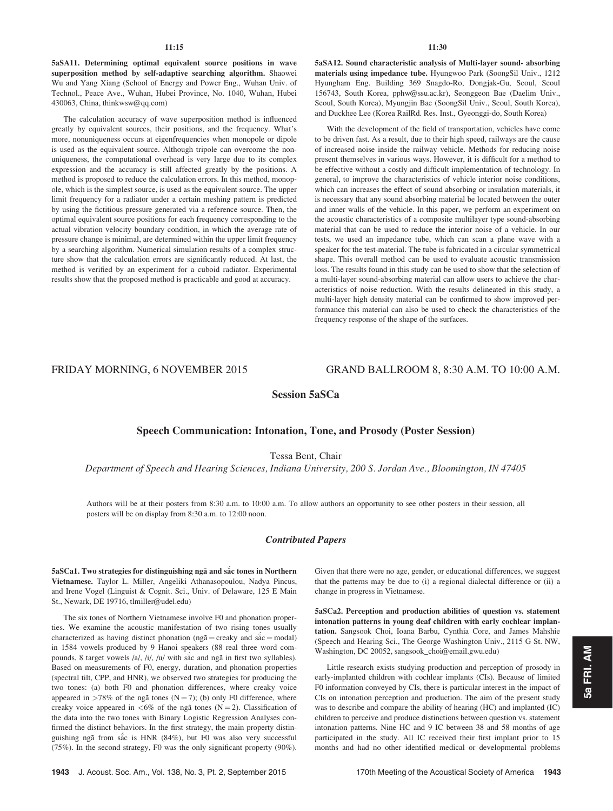## 11:15

5aSA11. Determining optimal equivalent source positions in wave superposition method by self-adaptive searching algorithm. Shaowei Wu and Yang Xiang (School of Energy and Power Eng., Wuhan Univ. of Technol., Peace Ave., Wuhan, Hubei Province, No. 1040, Wuhan, Hubei 430063, China, thinkwsw@qq.com)

The calculation accuracy of wave superposition method is influenced greatly by equivalent sources, their positions, and the frequency. What's more, nonuniqueness occurs at eigenfrequencies when monopole or dipole is used as the equivalent source. Although tripole can overcome the nonuniqueness, the computational overhead is very large due to its complex expression and the accuracy is still affected greatly by the positions. A method is proposed to reduce the calculation errors. In this method, monopole, which is the simplest source, is used as the equivalent source. The upper limit frequency for a radiator under a certain meshing pattern is predicted by using the fictitious pressure generated via a reference source. Then, the optimal equivalent source positions for each frequency corresponding to the actual vibration velocity boundary condition, in which the average rate of pressure change is minimal, are determined within the upper limit frequency by a searching algorithm. Numerical simulation results of a complex structure show that the calculation errors are significantly reduced. At last, the method is verified by an experiment for a cuboid radiator. Experimental results show that the proposed method is practicable and good at accuracy.

5aSA12. Sound characteristic analysis of Multi-layer sound- absorbing materials using impedance tube. Hyungwoo Park (SoongSil Univ., 1212 Hyungham Eng. Building 369 Snagdo-Ro, Dongjak-Gu, Seoul, Seoul 156743, South Korea, pphw@ssu.ac.kr), Seonggeon Bae (Daelim Univ., Seoul, South Korea), Myungjin Bae (SoongSil Univ., Seoul, South Korea), and Duckhee Lee (Korea RailRd. Res. Inst., Gyeonggi-do, South Korea)

With the development of the field of transportation, vehicles have come to be driven fast. As a result, due to their high speed, railways are the cause of increased noise inside the railway vehicle. Methods for reducing noise present themselves in various ways. However, it is difficult for a method to be effective without a costly and difficult implementation of technology. In general, to improve the characteristics of vehicle interior noise conditions, which can increases the effect of sound absorbing or insulation materials, it is necessary that any sound absorbing material be located between the outer and inner walls of the vehicle. In this paper, we perform an experiment on the acoustic characteristics of a composite multilayer type sound-absorbing material that can be used to reduce the interior noise of a vehicle. In our tests, we used an impedance tube, which can scan a plane wave with a speaker for the test-material. The tube is fabricated in a circular symmetrical shape. This overall method can be used to evaluate acoustic transmission loss. The results found in this study can be used to show that the selection of a multi-layer sound-absorbing material can allow users to achieve the characteristics of noise reduction. With the results delineated in this study, a multi-layer high density material can be confirmed to show improved performance this material can also be used to check the characteristics of the frequency response of the shape of the surfaces.

FRIDAY MORNING, 6 NOVEMBER 2015 GRAND BALLROOM 8, 8:30 A.M. TO 10:00 A.M.

Session 5aSCa

# Speech Communication: Intonation, Tone, and Prosody (Poster Session)

Tessa Bent, Chair

Department of Speech and Hearing Sciences, Indiana University, 200 S. Jordan Ave., Bloomington, IN 47405

Authors will be at their posters from 8:30 a.m. to 10:00 a.m. To allow authors an opportunity to see other posters in their session, all posters will be on display from 8:30 a.m. to 12:00 noon.

# Contributed Papers

5aSCa1. Two strategies for distinguishing nga and sac tones in Northern Vietnamese. Taylor L. Miller, Angeliki Athanasopoulou, Nadya Pincus, and Irene Vogel (Linguist & Cognit. Sci., Univ. of Delaware, 125 E Main St., Newark, DE 19716, tlmiller@udel.edu)

The six tones of Northern Vietnamese involve F0 and phonation properties. We examine the acoustic manifestation of two rising tones usually characterized as having distinct phonation (ng $\tilde{a}$  = creaky and s $\dot{a}c$  = modal) in 1584 vowels produced by 9 Hanoi speakers (88 real three word compounds, 8 target vowels /a/, /i/, /u/ with sac and nga in first two syllables). Based on measurements of F0, energy, duration, and phonation properties (spectral tilt, CPP, and HNR), we observed two strategies for producing the two tones: (a) both F0 and phonation differences, where creaky voice appeared in  $>78\%$  of the ngã tones (N = 7); (b) only F0 difference, where creaky voice appeared in  $<6\%$  of the nga tones (N = 2). Classification of the data into the two tones with Binary Logistic Regression Analyses confirmed the distinct behaviors. In the first strategy, the main property distinguishing ngã from sắc is HNR (84%), but F0 was also very successful (75%). In the second strategy, F0 was the only significant property (90%). Given that there were no age, gender, or educational differences, we suggest that the patterns may be due to (i) a regional dialectal difference or (ii) a change in progress in Vietnamese.

5aSCa2. Perception and production abilities of question vs. statement intonation patterns in young deaf children with early cochlear implantation. Sangsook Choi, Ioana Barbu, Cynthia Core, and James Mahshie (Speech and Hearing Sci., The George Washington Univ., 2115 G St. NW, Washington, DC 20052, sangsook\_choi@email.gwu.edu)

Little research exists studying production and perception of prosody in early-implanted children with cochlear implants (CIs). Because of limited F0 information conveyed by CIs, there is particular interest in the impact of CIs on intonation perception and production. The aim of the present study was to describe and compare the ability of hearing (HC) and implanted (IC) children to perceive and produce distinctions between question vs. statement intonation patterns. Nine HC and 9 IC between 38 and 58 months of age participated in the study. All IC received their first implant prior to 15 months and had no other identified medical or developmental problems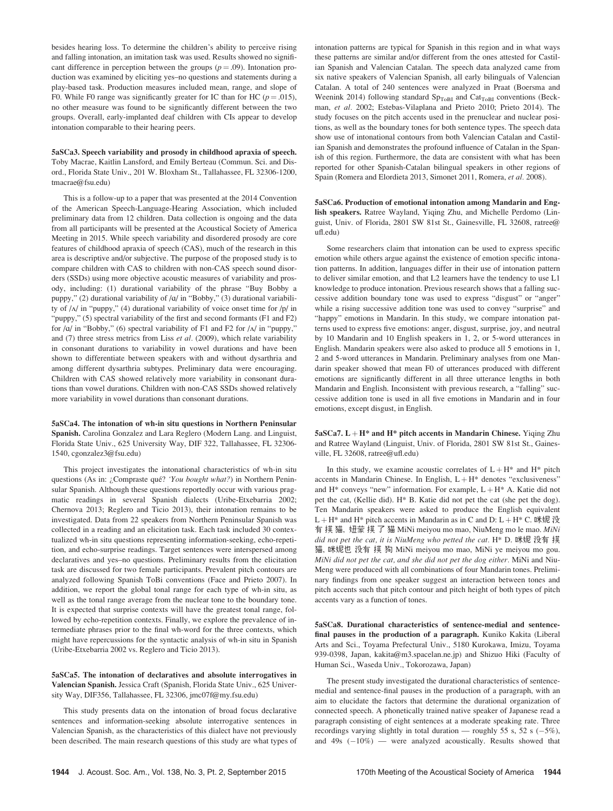besides hearing loss. To determine the children's ability to perceive rising and falling intonation, an imitation task was used. Results showed no significant difference in perception between the groups ( $p = .09$ ). Intonation production was examined by eliciting yes–no questions and statements during a play-based task. Production measures included mean, range, and slope of F0. While F0 range was significantly greater for IC than for HC ( $p = .015$ ), no other measure was found to be significantly different between the two groups. Overall, early-implanted deaf children with CIs appear to develop intonation comparable to their hearing peers.

5aSCa3. Speech variability and prosody in childhood apraxia of speech. Toby Macrae, Kaitlin Lansford, and Emily Berteau (Commun. Sci. and Disord., Florida State Univ., 201 W. Bloxham St., Tallahassee, FL 32306-1200, tmacrae@fsu.edu)

This is a follow-up to a paper that was presented at the 2014 Convention of the American Speech-Language-Hearing Association, which included preliminary data from 12 children. Data collection is ongoing and the data from all participants will be presented at the Acoustical Society of America Meeting in 2015. While speech variability and disordered prosody are core features of childhood apraxia of speech (CAS), much of the research in this area is descriptive and/or subjective. The purpose of the proposed study is to compare children with CAS to children with non-CAS speech sound disorders (SSDs) using more objective acoustic measures of variability and prosody, including: (1) durational variability of the phrase "Buy Bobby a puppy," (2) durational variability of  $/a$  in "Bobby," (3) durational variability of  $/\Lambda$  in "puppy," (4) durational variability of voice onset time for  $/p/$  in "puppy," (5) spectral variability of the first and second formants (F1 and F2) for  $\alpha$  in "Bobby," (6) spectral variability of F1 and F2 for  $\Lambda$  in "puppy," and  $(7)$  three stress metrics from Liss et al. (2009), which relate variability in consonant durations to variability in vowel durations and have been shown to differentiate between speakers with and without dysarthria and among different dysarthria subtypes. Preliminary data were encouraging. Children with CAS showed relatively more variability in consonant durations than vowel durations. Children with non-CAS SSDs showed relatively more variability in vowel durations than consonant durations.

5aSCa4. The intonation of wh-in situ questions in Northern Peninsular Spanish. Carolina Gonzalez and Lara Reglero (Modern Lang. and Linguist, Florida State Univ., 625 University Way, DIF 322, Tallahassee, FL 32306- 1540, cgonzalez3@fsu.edu)

This project investigates the intonational characteristics of wh-in situ questions (As in: ¿Compraste qué? 'You bought what?) in Northern Peninsular Spanish. Although these questions reportedly occur with various pragmatic readings in several Spanish dialects (Uribe-Etxebarria 2002; Chernova 2013; Reglero and Ticio 2013), their intonation remains to be investigated. Data from 22 speakers from Northern Peninsular Spanish was collected in a reading and an elicitation task. Each task included 30 contextualized wh-in situ questions representing information-seeking, echo-repetition, and echo-surprise readings. Target sentences were interspersed among declaratives and yes–no questions. Preliminary results from the elicitation task are discussed for two female participants. Prevalent pitch contours are analyzed following Spanish ToBi conventions (Face and Prieto 2007). In addition, we report the global tonal range for each type of wh-in situ, as well as the tonal range average from the nuclear tone to the boundary tone. It is expected that surprise contexts will have the greatest tonal range, followed by echo-repetition contexts. Finally, we explore the prevalence of intermediate phrases prior to the final wh-word for the three contexts, which might have repercussions for the syntactic analysis of wh-in situ in Spanish (Uribe-Etxebarria 2002 vs. Reglero and Ticio 2013).

5aSCa5. The intonation of declaratives and absolute interrogatives in Valencian Spanish. Jessica Craft (Spanish, Florida State Univ., 625 University Way, DIF356, Tallahassee, FL 32306, jmc07f@my.fsu.edu)

This study presents data on the intonation of broad focus declarative sentences and information-seeking absolute interrogative sentences in Valencian Spanish, as the characteristics of this dialect have not previously been described. The main research questions of this study are what types of intonation patterns are typical for Spanish in this region and in what ways these patterns are similar and/or different from the ones attested for Castilian Spanish and Valencian Catalan. The speech data analyzed came from six native speakers of Valencian Spanish, all early bilinguals of Valencian Catalan. A total of 240 sentences were analyzed in Praat (Boersma and Weenink 2014) following standard  $Sp<sub>ToBI</sub>$  and  $Cat<sub>ToBI</sub>$  conventions (Beckman, et al. 2002; Estebas-Vilaplana and Prieto 2010; Prieto 2014). The study focuses on the pitch accents used in the prenuclear and nuclear positions, as well as the boundary tones for both sentence types. The speech data show use of intonational contours from both Valencian Catalan and Castilian Spanish and demonstrates the profound influence of Catalan in the Spanish of this region. Furthermore, the data are consistent with what has been reported for other Spanish-Catalan bilingual speakers in other regions of Spain (Romera and Elordieta 2013, Simonet 2011, Romera, et al. 2008).

5aSCa6. Production of emotional intonation among Mandarin and English speakers. Ratree Wayland, Yiqing Zhu, and Michelle Perdomo (Linguist, Univ. of Florida, 2801 SW 81st St., Gainesville, FL 32608, ratree@ ufl.edu)

Some researchers claim that intonation can be used to express specific emotion while others argue against the existence of emotion specific intonation patterns. In addition, languages differ in their use of intonation pattern to deliver similar emotion, and that L2 learners have the tendency to use L1 knowledge to produce intonation. Previous research shows that a falling successive addition boundary tone was used to express "disgust" or "anger" while a rising successive addition tone was used to convey "surprise" and "happy" emotions in Mandarin. In this study, we compare intonation patterns used to express five emotions: anger, disgust, surprise, joy, and neutral by 10 Mandarin and 10 English speakers in 1, 2, or 5-word utterances in English. Mandarin speakers were also asked to produce all 5 emotions in 1, 2 and 5-word utterances in Mandarin. Preliminary analyses from one Mandarin speaker showed that mean F0 of utterances produced with different emotions are significantly different in all three utterance lengths in both Mandarin and English. Inconsistent with previous research, a "falling" successive addition tone is used in all five emotions in Mandarin and in four emotions, except disgust, in English.

 $5aSCa7$ .  $L + H^*$  and  $H^*$  pitch accents in Mandarin Chinese. Yiqing Zhu and Ratree Wayland (Linguist, Univ. of Florida, 2801 SW 81st St., Gainesville, FL 32608, ratree@ufl.edu)

In this study, we examine acoustic correlates of  $L + H^*$  and  $H^*$  pitch accents in Mandarin Chinese. In English,  $L + H^*$  denotes "exclusiveness" and  $H^*$  conveys "new" information. For example,  $L + H^*$  A. Katie did not pet the cat, (Kellie did). H\* B. Katie did not pet the cat (she pet the dog). Ten Mandarin speakers were asked to produce the English equivalent L + H<sup>\*</sup> and H<sup>\*</sup> pitch accents in Mandarin as in C and D: L + H<sup>\*</sup> C. 咪妮 没 有 摸 猫, 妞蒙 摸 了 猫 MiNi meiyou mo mao, NiuMeng mo le mao. MiNi did not pet the cat, it is NiuMeng who petted the cat. H\* D. 咪妮 没有 摸 猫, 咪妮也 没有 摸 狗 MiNi meiyou mo mao, MiNi ye meiyou mo gou. MiNi did not pet the cat, and she did not pet the dog either. MiNi and Niu-Meng were produced with all combinations of four Mandarin tones. Preliminary findings from one speaker suggest an interaction between tones and pitch accents such that pitch contour and pitch height of both types of pitch accents vary as a function of tones.

5aSCa8. Durational characteristics of sentence-medial and sentencefinal pauses in the production of a paragraph. Kuniko Kakita (Liberal Arts and Sci., Toyama Prefectural Univ., 5180 Kurokawa, Imizu, Toyama 939-0398, Japan, kakita@m3.spacelan.ne.jp) and Shizuo Hiki (Faculty of Human Sci., Waseda Univ., Tokorozawa, Japan)

The present study investigated the durational characteristics of sentencemedial and sentence-final pauses in the production of a paragraph, with an aim to elucidate the factors that determine the durational organization of connected speech. A phonetically trained native speaker of Japanese read a paragraph consisting of eight sentences at a moderate speaking rate. Three recordings varying slightly in total duration — roughly 55 s, 52 s  $(-5\%)$ , and  $49s$   $(-10\%)$  — were analyzed acoustically. Results showed that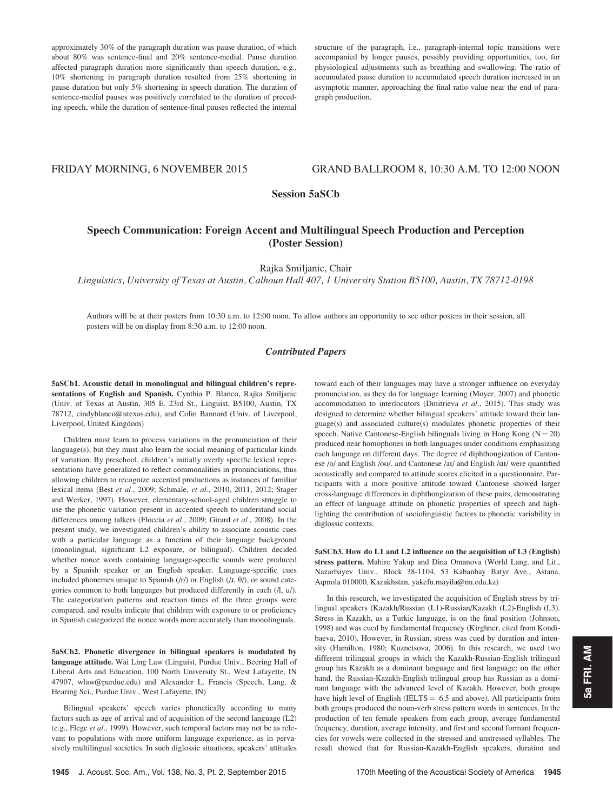approximately 30% of the paragraph duration was pause duration, of which about 80% was sentence-final and 20% sentence-medial. Pause duration affected paragraph duration more significantly than speech duration, e.g., 10% shortening in paragraph duration resulted from 25% shortening in pause duration but only 5% shortening in speech duration. The duration of sentence-medial pauses was positively correlated to the duration of preceding speech, while the duration of sentence-final pauses reflected the internal

structure of the paragraph, i.e., paragraph-internal topic transitions were accompanied by longer pauses, possibly providing opportunities, too, for physiological adjustments such as breathing and swallowing. The ratio of accumulated pause duration to accumulated speech duration increased in an asymptotic manner, approaching the final ratio value near the end of paragraph production.

# FRIDAY MORNING, 6 NOVEMBER 2015 GRAND BALLROOM 8, 10:30 A.M. TO 12:00 NOON

# Session 5aSCb

# Speech Communication: Foreign Accent and Multilingual Speech Production and Perception (Poster Session)

Rajka Smiljanic, Chair

Linguistics, University of Texas at Austin, Calhoun Hall 407, 1 University Station B5100, Austin, TX 78712-0198

Authors will be at their posters from 10:30 a.m. to 12:00 noon. To allow authors an opportunity to see other posters in their session, all posters will be on display from 8:30 a.m. to 12:00 noon.

# Contributed Papers

5aSCb1. Acoustic detail in monolingual and bilingual children's representations of English and Spanish. Cynthia P. Blanco, Rajka Smiljanic (Univ. of Texas at Austin, 305 E. 23rd St., Linguist, B5100, Austin, TX 78712, cindyblanco@utexas.edu), and Colin Bannard (Univ. of Liverpool, Liverpool, United Kingdom)

Children must learn to process variations in the pronunciation of their language(s), but they must also learn the social meaning of particular kinds of variation. By preschool, children's initially overly specific lexical representations have generalized to reflect commonalities in pronunciations, thus allowing children to recognize accented productions as instances of familiar lexical items (Best et al., 2009; Schmale, et al., 2010, 2011, 2012; Stager and Werker, 1997). However, elementary-school-aged children struggle to use the phonetic variation present in accented speech to understand social differences among talkers (Floccia et al., 2009; Girard et al., 2008). In the present study, we investigated children's ability to associate acoustic cues with a particular language as a function of their language background (monolingual, significant L2 exposure, or bilingual). Children decided whether nonce words containing language-specific sounds were produced by a Spanish speaker or an English speaker. Language-specific cues included phonemes unique to Spanish  $(fr)$  or English  $(fr, \theta)$ , or sound categories common to both languages but produced differently in each (/l, u/). The categorization patterns and reaction times of the three groups were compared, and results indicate that children with exposure to or proficiency in Spanish categorized the nonce words more accurately than monolinguals.

5aSCb2. Phonetic divergence in bilingual speakers is modulated by language attitude. Wai Ling Law (Linguist, Purdue Univ., Beering Hall of Liberal Arts and Education, 100 North University St., West Lafayette, IN 47907, wlaw@purdue.edu) and Alexander L. Francis (Speech, Lang. & Hearing Sci., Purdue Univ., West Lafayette, IN)

Bilingual speakers' speech varies phonetically according to many factors such as age of arrival and of acquisition of the second language (L2) (e.g., Flege et al., 1999). However, such temporal factors may not be as relevant to populations with more uniform language experience, as in pervasively multilingual societies. In such diglossic situations, speakers' attitudes toward each of their languages may have a stronger influence on everyday pronunciation, as they do for language learning (Moyer, 2007) and phonetic accommodation to interlocutors (Dmitrieva et al., 2015). This study was designed to determine whether bilingual speakers' attitude toward their language(s) and associated culture(s) modulates phonetic properties of their speech. Native Cantonese-English bilinguals living in Hong Kong  $(N = 20)$ produced near homophones in both languages under conditions emphasizing each language on different days. The degree of diphthongization of Cantonese /o/ and English /ou/, and Cantonese /aɪ/ and English /aɪ/ were quantified acoustically and compared to attitude scores elicited in a questionnaire. Participants with a more positive attitude toward Cantonese showed larger cross-language differences in diphthongization of these pairs, demonstrating an effect of language attitude on phonetic properties of speech and highlighting the contribution of sociolinguistic factors to phonetic variability in diglossic contexts.

5aSCb3. How do L1 and L2 influence on the acquisition of L3 (English) stress pattern. Mahire Yakup and Dina Omanova (World Lang. and Lit., Nazarbayev Univ., Block 38-1104, 53 Kabanbay Batyr Ave., Astana, Aqmola 010000, Kazakhstan, yakefu.mayila@nu.edu.kz)

In this research, we investigated the acquisition of English stress by trilingual speakers (Kazakh/Russian (L1)-Russian/Kazakh (L2)-English (L3). Stress in Kazakh, as a Turkic language, is on the final position (Johnson, 1998) and was cued by fundamental frequency (Kirghner, cited from Kondibaeva, 2010). However, in Russian, stress was cued by duration and intensity (Hamilton, 1980; Kuznetsova, 2006). In this research, we used two different trilingual groups in which the Kazakh-Russian-English trilingual group has Kazakh as a dominant language and first language; on the other hand, the Russian-Kazakh-English trilingual group has Russian as a dominant language with the advanced level of Kazakh. However, both groups have high level of English (IELTS  $= 6.5$  and above). All participants from both groups produced the noun-verb stress pattern words in sentences. In the production of ten female speakers from each group, average fundamental frequency, duration, average intensity, and first and second formant frequencies for vowels were collected in the stressed and unstressed syllables. The result showed that for Russian-Kazakh-English speakers, duration and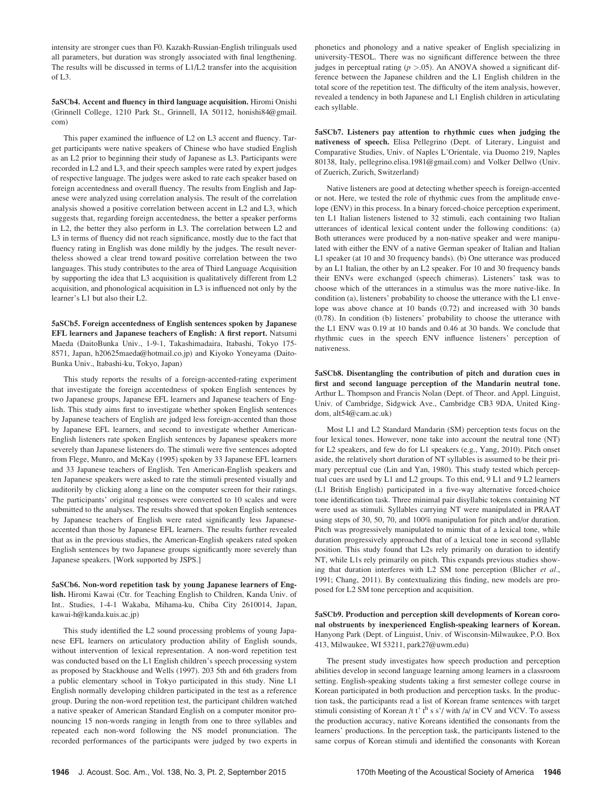intensity are stronger cues than F0. Kazakh-Russian-English trilinguals used all parameters, but duration was strongly associated with final lengthening. The results will be discussed in terms of L1/L2 transfer into the acquisition of  $L3$ .

5aSCb4. Accent and fluency in third language acquisition. Hiromi Onishi (Grinnell College, 1210 Park St., Grinnell, IA 50112, honishi84@gmail. com)

This paper examined the influence of L2 on L3 accent and fluency. Target participants were native speakers of Chinese who have studied English as an L2 prior to beginning their study of Japanese as L3. Participants were recorded in L2 and L3, and their speech samples were rated by expert judges of respective language. The judges were asked to rate each speaker based on foreign accentedness and overall fluency. The results from English and Japanese were analyzed using correlation analysis. The result of the correlation analysis showed a positive correlation between accent in L2 and L3, which suggests that, regarding foreign accentedness, the better a speaker performs in L2, the better they also perform in L3. The correlation between L2 and L3 in terms of fluency did not reach significance, mostly due to the fact that fluency rating in English was done mildly by the judges. The result nevertheless showed a clear trend toward positive correlation between the two languages. This study contributes to the area of Third Language Acquisition by supporting the idea that L3 acquisition is qualitatively different from L2 acquisition, and phonological acquisition in L3 is influenced not only by the learner's L1 but also their L2.

5aSCb5. Foreign accentedness of English sentences spoken by Japanese EFL learners and Japanese teachers of English: A first report. Natsumi Maeda (DaitoBunka Univ., 1-9-1, Takashimadaira, Itabashi, Tokyo 175- 8571, Japan, h20625maeda@hotmail.co.jp) and Kiyoko Yoneyama (Daito-Bunka Univ., Itabashi-ku, Tokyo, Japan)

This study reports the results of a foreign-accented-rating experiment that investigate the foreign accentedness of spoken English sentences by two Japanese groups, Japanese EFL learners and Japanese teachers of English. This study aims first to investigate whether spoken English sentences by Japanese teachers of English are judged less foreign-accented than those by Japanese EFL learners, and second to investigate whether American-English listeners rate spoken English sentences by Japanese speakers more severely than Japanese listeners do. The stimuli were five sentences adopted from Flege, Munro, and McKay (1995) spoken by 33 Japanese EFL learners and 33 Japanese teachers of English. Ten American-English speakers and ten Japanese speakers were asked to rate the stimuli presented visually and auditorily by clicking along a line on the computer screen for their ratings. The participants' original responses were converted to 10 scales and were submitted to the analyses. The results showed that spoken English sentences by Japanese teachers of English were rated significantly less Japaneseaccented than those by Japanese EFL learners. The results further revealed that as in the previous studies, the American-English speakers rated spoken English sentences by two Japanese groups significantly more severely than Japanese speakers. [Work supported by JSPS.]

## 5aSCb6. Non-word repetition task by young Japanese learners of English. Hiromi Kawai (Ctr. for Teaching English to Children, Kanda Univ. of Int.. Studies, 1-4-1 Wakaba, Mihama-ku, Chiba City 2610014, Japan, kawai-h@kanda.kuis.ac.jp)

This study identified the L2 sound processing problems of young Japanese EFL learners on articulatory production ability of English sounds, without intervention of lexical representation. A non-word repetition test was conducted based on the L1 English children's speech processing system as proposed by Stackhouse and Wells (1997). 203 5th and 6th graders from a public elementary school in Tokyo participated in this study. Nine L1 English normally developing children participated in the test as a reference group. During the non-word repetition test, the participant children watched a native speaker of American Standard English on a computer monitor pronouncing 15 non-words ranging in length from one to three syllables and repeated each non-word following the NS model pronunciation. The recorded performances of the participants were judged by two experts in phonetics and phonology and a native speaker of English specializing in university-TESOL. There was no significant difference between the three judges in perceptual rating  $(p > .05)$ . An ANOVA showed a significant difference between the Japanese children and the L1 English children in the total score of the repetition test. The difficulty of the item analysis, however, revealed a tendency in both Japanese and L1 English children in articulating each syllable.

5aSCb7. Listeners pay attention to rhythmic cues when judging the nativeness of speech. Elisa Pellegrino (Dept. of Literary, Linguist and Comparative Studies, Univ. of Naples L'Orientale, via Duomo 219, Naples 80138, Italy, pellegrino.elisa.1981@gmail.com) and Volker Dellwo (Univ. of Zuerich, Zurich, Switzerland)

Native listeners are good at detecting whether speech is foreign-accented or not. Here, we tested the role of rhythmic cues from the amplitude envelope (ENV) in this process. In a binary forced-choice perception experiment, ten L1 Italian listeners listened to 32 stimuli, each containing two Italian utterances of identical lexical content under the following conditions: (a) Both utterances were produced by a non-native speaker and were manipulated with either the ENV of a native German speaker of Italian and Italian L1 speaker (at 10 and 30 frequency bands). (b) One utterance was produced by an L1 Italian, the other by an L2 speaker. For 10 and 30 frequency bands their ENVs were exchanged (speech chimeras). Listeners' task was to choose which of the utterances in a stimulus was the more native-like. In condition (a), listeners' probability to choose the utterance with the L1 envelope was above chance at 10 bands (0.72) and increased with 30 bands (0.78). In condition (b) listeners' probability to choose the utterance with the L1 ENV was 0.19 at 10 bands and 0.46 at 30 bands. We conclude that rhythmic cues in the speech ENV influence listeners' perception of nativeness.

5aSCb8. Disentangling the contribution of pitch and duration cues in first and second language perception of the Mandarin neutral tone. Arthur L. Thompson and Francis Nolan (Dept. of Theor. and Appl. Linguist, Univ. of Cambridge, Sidgwick Ave., Cambridge CB3 9DA, United Kingdom, alt54@cam.ac.uk)

Most L1 and L2 Standard Mandarin (SM) perception tests focus on the four lexical tones. However, none take into account the neutral tone (NT) for L2 speakers, and few do for L1 speakers (e.g., Yang, 2010). Pitch onset aside, the relatively short duration of NT syllables is assumed to be their primary perceptual cue (Lin and Yan, 1980). This study tested which perceptual cues are used by L1 and L2 groups. To this end, 9 L1 and 9 L2 learners (L1 British English) participated in a five-way alternative forced-choice tone identification task. Three minimal pair disyllabic tokens containing NT were used as stimuli. Syllables carrying NT were manipulated in PRAAT using steps of 30, 50, 70, and 100% manipulation for pitch and/or duration. Pitch was progressively manipulated to mimic that of a lexical tone, while duration progressively approached that of a lexical tone in second syllable position. This study found that L2s rely primarily on duration to identify NT, while L1s rely primarily on pitch. This expands previous studies showing that duration interferes with L2 SM tone perception (Blicher et al., 1991; Chang, 2011). By contextualizing this finding, new models are proposed for L2 SM tone perception and acquisition.

# 5aSCb9. Production and perception skill developments of Korean coronal obstruents by inexperienced English-speaking learners of Korean. Hanyong Park (Dept. of Linguist, Univ. of Wisconsin-Milwaukee, P.O. Box 413, Milwaukee, WI 53211, park27@uwm.edu)

The present study investigates how speech production and perception abilities develop in second language learning among learners in a classroom setting. English-speaking students taking a first semester college course in Korean participated in both production and perception tasks. In the production task, the participants read a list of Korean frame sentences with target stimuli consisting of Korean /t t' th s s'/ with /a/ in CV and VCV. To assess the production accuracy, native Koreans identified the consonants from the learners' productions. In the perception task, the participants listened to the same corpus of Korean stimuli and identified the consonants with Korean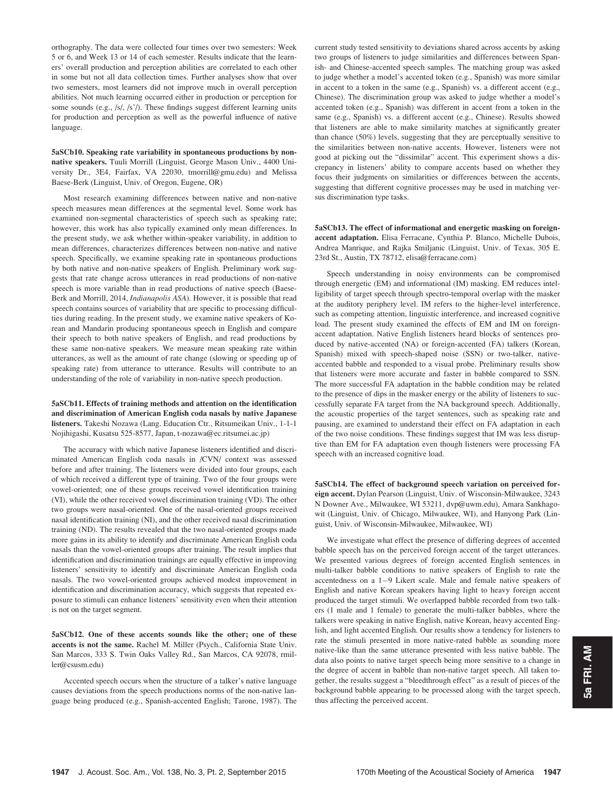orthography. The data were collected four times over two semesters: Week 5 or 6, and Week 13 or 14 of each semester. Results indicate that the learners' overall production and perception abilities are correlated to each other in some but not all data collection times. Further analyses show that over two semesters, most learners did not improve much in overall perception abilities. Not much learning occurred either in production or perception for some sounds (e.g., /s/, /s'/). These findings suggest different learning units for production and perception as well as the powerful influence of native language.

5aSCb10. Speaking rate variability in spontaneous productions by nonnative speakers. Tuuli Morrill (Linguist, George Mason Univ., 4400 University Dr., 3E4, Fairfax, VA 22030, tmorrill@gmu.edu) and Melissa Baese-Berk (Linguist, Univ. of Oregon, Eugene, OR)

Most research examining differences between native and non-native speech measures mean differences at the segmental level. Some work has examined non-segmental characteristics of speech such as speaking rate; however, this work has also typically examined only mean differences. In the present study, we ask whether within-speaker variability, in addition to mean differences, characterizes differences between non-native and native speech. Specifically, we examine speaking rate in spontaneous productions by both native and non-native speakers of English. Preliminary work suggests that rate change across utterances in read productions of non-native speech is more variable than in read productions of native speech (Baese-Berk and Morrill, 2014, Indianapolis ASA). However, it is possible that read speech contains sources of variability that are specific to processing difficulties during reading. In the present study, we examine native speakers of Korean and Mandarin producing spontaneous speech in English and compare their speech to both native speakers of English, and read productions by these same non-native speakers. We measure mean speaking rate within utterances, as well as the amount of rate change (slowing or speeding up of speaking rate) from utterance to utterance. Results will contribute to an understanding of the role of variability in non-native speech production.

5aSCb11. Effects of training methods and attention on the identification and discrimination of American English coda nasals by native Japanese listeners. Takeshi Nozawa (Lang. Education Ctr., Ritsumeikan Univ., 1-1-1 Nojihigashi, Kusatsu 525-8577, Japan, t-nozawa@ec.ritsumei.ac.jp)

The accuracy with which native Japanese listeners identified and discriminated American English coda nasals in /CVN/ context was assessed before and after training. The listeners were divided into four groups, each of which received a different type of training. Two of the four groups were vowel-oriented; one of these groups received vowel identification training (VI), while the other received vowel discrimination training (VD). The other two groups were nasal-oriented. One of the nasal-oriented groups received nasal identification training (NI), and the other received nasal discrimination training (ND). The results revealed that the two nasal-oriented groups made more gains in its ability to identify and discriminate American English coda nasals than the vowel-oriented groups after training. The result implies that identification and discrimination trainings are equally effective in improving listeners' sensitivity to identify and discriminate American English coda nasals. The two vowel-oriented groups achieved modest improvement in identification and discrimination accuracy, which suggests that repeated exposure to stimuli can enhance listeners' sensitivity even when their attention is not on the target segment.

5aSCb12. One of these accents sounds like the other; one of these accents is not the same. Rachel M. Miller (Psych., California State Univ. San Marcos, 333 S. Twin Oaks Valley Rd., San Marcos, CA 92078, rmiller@csusm.edu)

Accented speech occurs when the structure of a talker's native language causes deviations from the speech productions norms of the non-native language being produced (e.g., Spanish-accented English; Tarone, 1987). The current study tested sensitivity to deviations shared across accents by asking two groups of listeners to judge similarities and differences between Spanish- and Chinese-accented speech samples. The matching group was asked to judge whether a model's accented token (e.g., Spanish) was more similar in accent to a token in the same (e.g., Spanish) vs. a different accent (e.g., Chinese). The discrimination group was asked to judge whether a model's accented token (e.g., Spanish) was different in accent from a token in the same (e.g., Spanish) vs. a different accent (e.g., Chinese). Results showed that listeners are able to make similarity matches at significantly greater than chance (50%) levels, suggesting that they are perceptually sensitive to the similarities between non-native accents. However, listeners were not good at picking out the "dissimilar" accent. This experiment shows a discrepancy in listeners' ability to compare accents based on whether they focus their judgments on similarities or differences between the accents, suggesting that different cognitive processes may be used in matching versus discrimination type tasks.

5aSCb13. The effect of informational and energetic masking on foreignaccent adaptation. Elisa Ferracane, Cynthia P. Blanco, Michelle Dubois, Andrea Manrique, and Rajka Smiljanic (Linguist, Univ. of Texas, 305 E. 23rd St., Austin, TX 78712, elisa@ferracane.com)

Speech understanding in noisy environments can be compromised through energetic (EM) and informational (IM) masking. EM reduces intelligibility of target speech through spectro-temporal overlap with the masker at the auditory periphery level. IM refers to the higher-level interference, such as competing attention, linguistic interference, and increased cognitive load. The present study examined the effects of EM and IM on foreignaccent adaptation. Native English listeners heard blocks of sentences produced by native-accented (NA) or foreign-accented (FA) talkers (Korean, Spanish) mixed with speech-shaped noise (SSN) or two-talker, nativeaccented babble and responded to a visual probe. Preliminary results show that listeners were more accurate and faster in babble compared to SSN. The more successful FA adaptation in the babble condition may be related to the presence of dips in the masker energy or the ability of listeners to successfully separate FA target from the NA background speech. Additionally, the acoustic properties of the target sentences, such as speaking rate and pausing, are examined to understand their effect on FA adaptation in each of the two noise conditions. These findings suggest that IM was less disruptive than EM for FA adaptation even though listeners were processing FA speech with an increased cognitive load.

5aSCb14. The effect of background speech variation on perceived foreign accent. Dylan Pearson (Linguist, Univ. of Wisconsin-Milwaukee, 3243 N Downer Ave., Milwaukee, WI 53211, dvp@uwm.edu), Amara Sankhagowit (Linguist, Univ. of Chicago, Milwaukee, WI), and Hanyong Park (Linguist, Univ. of Wisconsin-Milwaukee, Milwaukee, WI)

We investigate what effect the presence of differing degrees of accented babble speech has on the perceived foreign accent of the target utterances. We presented various degrees of foreign accented English sentences in multi-talker babble conditions to native speakers of English to rate the accentedness on a  $1-9$  Likert scale. Male and female native speakers of English and native Korean speakers having light to heavy foreign accent produced the target stimuli. We overlapped babble recorded from two talkers (1 male and 1 female) to generate the multi-talker babbles, where the talkers were speaking in native English, native Korean, heavy accented English, and light accented English. Our results show a tendency for listeners to rate the stimuli presented in more native-rated babble as sounding more native-like than the same utterance presented with less native babble. The data also points to native target speech being more sensitive to a change in the degree of accent in babble than non-native target speech. All taken together, the results suggest a "bleedthrough effect" as a result of pieces of the background babble appearing to be processed along with the target speech, thus affecting the perceived accent.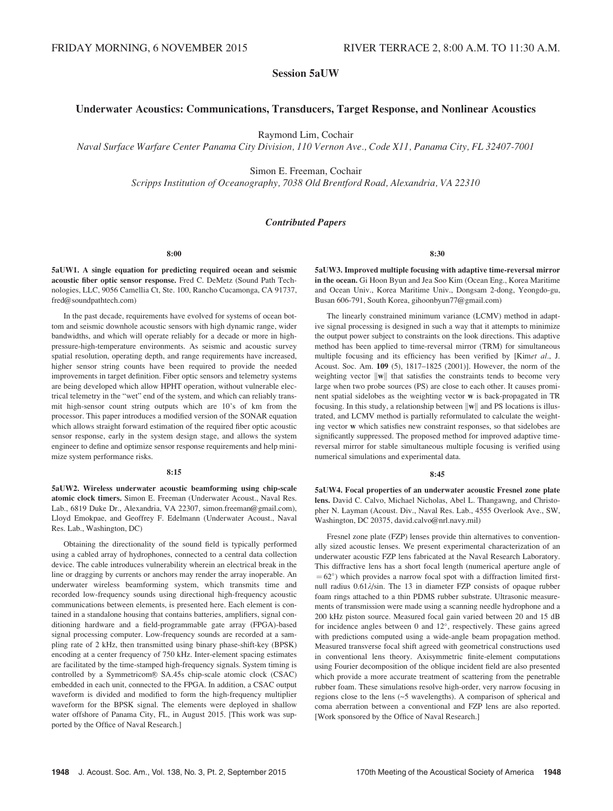# Session 5aUW

# Underwater Acoustics: Communications, Transducers, Target Response, and Nonlinear Acoustics

Raymond Lim, Cochair

Naval Surface Warfare Center Panama City Division, 110 Vernon Ave., Code X11, Panama City, FL 32407-7001

Simon E. Freeman, Cochair

Scripps Institution of Oceanography, 7038 Old Brentford Road, Alexandria, VA 22310

# Contributed Papers

8:00

5aUW1. A single equation for predicting required ocean and seismic acoustic fiber optic sensor response. Fred C. DeMetz (Sound Path Technologies, LLC, 9056 Camellia Ct, Ste. 100, Rancho Cucamonga, CA 91737, fred@soundpathtech.com)

In the past decade, requirements have evolved for systems of ocean bottom and seismic downhole acoustic sensors with high dynamic range, wider bandwidths, and which will operate reliably for a decade or more in highpressure-high-temperature environments. As seismic and acoustic survey spatial resolution, operating depth, and range requirements have increased, higher sensor string counts have been required to provide the needed improvements in target definition. Fiber optic sensors and telemetry systems are being developed which allow HPHT operation, without vulnerable electrical telemetry in the "wet" end of the system, and which can reliably transmit high-sensor count string outputs which are 10's of km from the processor. This paper introduces a modified version of the SONAR equation which allows straight forward estimation of the required fiber optic acoustic sensor response, early in the system design stage, and allows the system engineer to define and optimize sensor response requirements and help minimize system performance risks.

## 8:15

5aUW2. Wireless underwater acoustic beamforming using chip-scale atomic clock timers. Simon E. Freeman (Underwater Acoust., Naval Res. Lab., 6819 Duke Dr., Alexandria, VA 22307, simon.freeman@gmail.com), Lloyd Emokpae, and Geoffrey F. Edelmann (Underwater Acoust., Naval Res. Lab., Washington, DC)

Obtaining the directionality of the sound field is typically performed using a cabled array of hydrophones, connected to a central data collection device. The cable introduces vulnerability wherein an electrical break in the line or dragging by currents or anchors may render the array inoperable. An underwater wireless beamforming system, which transmits time and recorded low-frequency sounds using directional high-frequency acoustic communications between elements, is presented here. Each element is contained in a standalone housing that contains batteries, amplifiers, signal conditioning hardware and a field-programmable gate array (FPGA)-based signal processing computer. Low-frequency sounds are recorded at a sampling rate of 2 kHz, then transmitted using binary phase-shift-key (BPSK) encoding at a center frequency of 750 kHz. Inter-element spacing estimates are facilitated by the time-stamped high-frequency signals. System timing is controlled by a Symmetricom® SA.45s chip-scale atomic clock (CSAC) embedded in each unit, connected to the FPGA. In addition, a CSAC output waveform is divided and modified to form the high-frequency multiplier waveform for the BPSK signal. The elements were deployed in shallow water offshore of Panama City, FL, in August 2015. [This work was supported by the Office of Naval Research.]

8:30

5aUW3. Improved multiple focusing with adaptive time-reversal mirror in the ocean. Gi Hoon Byun and Jea Soo Kim (Ocean Eng., Korea Maritime and Ocean Univ., Korea Maritime Univ., Dongsam 2-dong, Yeongdo-gu, Busan 606-791, South Korea, gihoonbyun77@gmail.com)

The linearly constrained minimum variance (LCMV) method in adaptive signal processing is designed in such a way that it attempts to minimize the output power subject to constraints on the look directions. This adaptive method has been applied to time-reversal mirror (TRM) for simultaneous multiple focusing and its efficiency has been verified by [Kimet al., J. Acoust. Soc. Am. 109 (5), 1817–1825 (2001)]. However, the norm of the weighting vector  $\|w\|$  that satisfies the constraints tends to become very large when two probe sources (PS) are close to each other. It causes prominent spatial sidelobes as the weighting vector w is back-propagated in TR focusing. In this study, a relationship between  $\| \mathbf{w} \|$  and PS locations is illustrated, and LCMV method is partially reformulated to calculate the weighting vector w which satisfies new constraint responses, so that sidelobes are significantly suppressed. The proposed method for improved adaptive timereversal mirror for stable simultaneous multiple focusing is verified using numerical simulations and experimental data.

### $8.45$

5aUW4. Focal properties of an underwater acoustic Fresnel zone plate lens. David C. Calvo, Michael Nicholas, Abel L. Thangawng, and Christopher N. Layman (Acoust. Div., Naval Res. Lab., 4555 Overlook Ave., SW, Washington, DC 20375, david.calvo@nrl.navy.mil)

Fresnel zone plate (FZP) lenses provide thin alternatives to conventionally sized acoustic lenses. We present experimental characterization of an underwater acoustic FZP lens fabricated at the Naval Research Laboratory. This diffractive lens has a short focal length (numerical aperture angle of  $=62^{\circ}$ ) which provides a narrow focal spot with a diffraction limited firstnull radius  $0.61\lambda/\sin$ . The 13 in diameter FZP consists of opaque rubber foam rings attached to a thin PDMS rubber substrate. Ultrasonic measurements of transmission were made using a scanning needle hydrophone and a 200 kHz piston source. Measured focal gain varied between 20 and 15 dB for incidence angles between  $0$  and  $12^{\circ}$ , respectively. These gains agreed with predictions computed using a wide-angle beam propagation method. Measured transverse focal shift agreed with geometrical constructions used in conventional lens theory. Axisymmetric finite-element computations using Fourier decomposition of the oblique incident field are also presented which provide a more accurate treatment of scattering from the penetrable rubber foam. These simulations resolve high-order, very narrow focusing in regions close to the lens (~5 wavelengths). A comparison of spherical and coma aberration between a conventional and FZP lens are also reported. [Work sponsored by the Office of Naval Research.]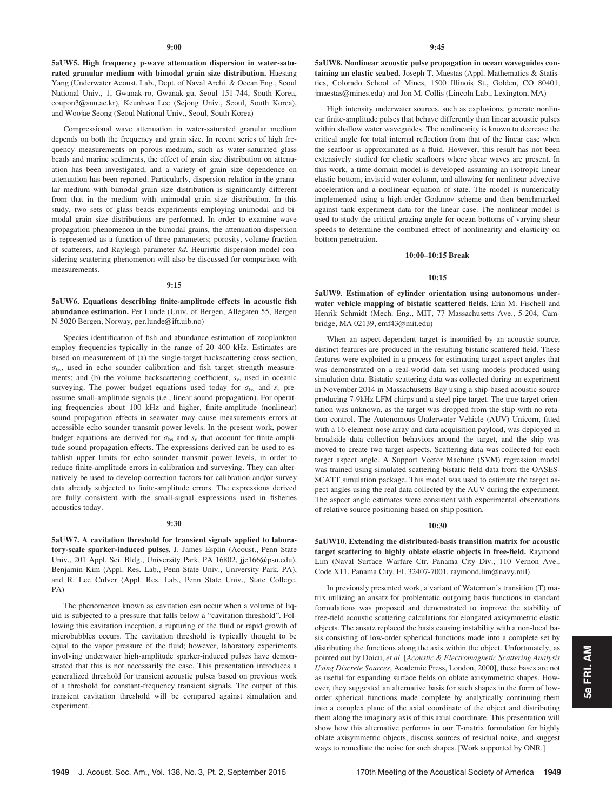5aUW5. High frequency p-wave attenuation dispersion in water-saturated granular medium with bimodal grain size distribution. Haesang Yang (Underwater Acoust. Lab., Dept. of Naval Archi. & Ocean Eng., Seoul National Univ., 1, Gwanak-ro, Gwanak-gu, Seoul 151-744, South Korea, coupon3@snu.ac.kr), Keunhwa Lee (Sejong Univ., Seoul, South Korea), and Woojae Seong (Seoul National Univ., Seoul, South Korea)

Compressional wave attenuation in water-saturated granular medium depends on both the frequency and grain size. In recent series of high frequency measurements on porous medium, such as water-saturated glass beads and marine sediments, the effect of grain size distribution on attenuation has been investigated, and a variety of grain size dependence on attenuation has been reported. Particularly, dispersion relation in the granular medium with bimodal grain size distribution is significantly different from that in the medium with unimodal grain size distribution. In this study, two sets of glass beads experiments employing unimodal and bimodal grain size distributions are performed. In order to examine wave propagation phenomenon in the bimodal grains, the attenuation dispersion is represented as a function of three parameters; porosity, volume fraction of scatterers, and Rayleigh parameter kd. Heuristic dispersion model considering scattering phenomenon will also be discussed for comparison with measurements.

#### 9:15

5aUW6. Equations describing finite-amplitude effects in acoustic fish abundance estimation. Per Lunde (Univ. of Bergen, Allegaten 55, Bergen N-5020 Bergen, Norway, per.lunde@ift.uib.no)

Species identification of fish and abundance estimation of zooplankton employ frequencies typically in the range of 20–400 kHz. Estimates are based on measurement of (a) the single-target backscattering cross section,  $\sigma_{\rm bs}$ , used in echo sounder calibration and fish target strength measurements; and (b) the volume backscattering coefficient,  $s_v$ , used in oceanic surveying. The power budget equations used today for  $\sigma_{bs}$  and  $s_v$  preassume small-amplitude signals (i.e., linear sound propagation). For operating frequencies about 100 kHz and higher, finite-amplitude (nonlinear) sound propagation effects in seawater may cause measurements errors at accessible echo sounder transmit power levels. In the present work, power budget equations are derived for  $\sigma_{bs}$  and  $s_y$  that account for finite-amplitude sound propagation effects. The expressions derived can be used to establish upper limits for echo sounder transmit power levels, in order to reduce finite-amplitude errors in calibration and surveying. They can alternatively be used to develop correction factors for calibration and/or survey data already subjected to finite-amplitude errors. The expressions derived are fully consistent with the small-signal expressions used in fisheries acoustics today.

#### 9:30

5aUW7. A cavitation threshold for transient signals applied to laboratory-scale sparker-induced pulses. J. James Esplin (Acoust., Penn State Univ., 201 Appl. Sci. Bldg., University Park, PA 16802, jje166@psu.edu), Benjamin Kim (Appl. Res. Lab., Penn State Univ., University Park, PA), and R. Lee Culver (Appl. Res. Lab., Penn State Univ., State College, PA)

The phenomenon known as cavitation can occur when a volume of liquid is subjected to a pressure that falls below a "cavitation threshold". Following this cavitation inception, a rupturing of the fluid or rapid growth of microbubbles occurs. The cavitation threshold is typically thought to be equal to the vapor pressure of the fluid; however, laboratory experiments involving underwater high-amplitude sparker-induced pulses have demonstrated that this is not necessarily the case. This presentation introduces a generalized threshold for transient acoustic pulses based on previous work of a threshold for constant-frequency transient signals. The output of this transient cavitation threshold will be compared against simulation and experiment.

5aUW8. Nonlinear acoustic pulse propagation in ocean waveguides containing an elastic seabed. Joseph T. Maestas (Appl. Mathematics & Statistics, Colorado School of Mines, 1500 Illinois St., Golden, CO 80401, jmaestas@mines.edu) and Jon M. Collis (Lincoln Lab., Lexington, MA)

High intensity underwater sources, such as explosions, generate nonlinear finite-amplitude pulses that behave differently than linear acoustic pulses within shallow water waveguides. The nonlinearity is known to decrease the critical angle for total internal reflection from that of the linear case when the seafloor is approximated as a fluid. However, this result has not been extensively studied for elastic seafloors where shear waves are present. In this work, a time-domain model is developed assuming an isotropic linear elastic bottom, inviscid water column, and allowing for nonlinear advective acceleration and a nonlinear equation of state. The model is numerically implemented using a high-order Godunov scheme and then benchmarked against tank experiment data for the linear case. The nonlinear model is used to study the critical grazing angle for ocean bottoms of varying shear speeds to determine the combined effect of nonlinearity and elasticity on bottom penetration.

## 10:00–10:15 Break

#### 10:15

5aUW9. Estimation of cylinder orientation using autonomous underwater vehicle mapping of bistatic scattered fields. Erin M. Fischell and Henrik Schmidt (Mech. Eng., MIT, 77 Massachusetts Ave., 5-204, Cambridge, MA 02139, emf43@mit.edu)

When an aspect-dependent target is insonified by an acoustic source, distinct features are produced in the resulting bistatic scattered field. These features were exploited in a process for estimating target aspect angles that was demonstrated on a real-world data set using models produced using simulation data. Bistatic scattering data was collected during an experiment in November 2014 in Massachusetts Bay using a ship-based acoustic source producing 7-9kHz LFM chirps and a steel pipe target. The true target orientation was unknown, as the target was dropped from the ship with no rotation control. The Autonomous Underwater Vehicle (AUV) Unicorn, fitted with a 16-element nose array and data acquisition payload, was deployed in broadside data collection behaviors around the target, and the ship was moved to create two target aspects. Scattering data was collected for each target aspect angle. A Support Vector Machine (SVM) regression model was trained using simulated scattering bistatic field data from the OASES-SCATT simulation package. This model was used to estimate the target aspect angles using the real data collected by the AUV during the experiment. The aspect angle estimates were consistent with experimental observations of relative source positioning based on ship position.

## 10:30

5aUW10. Extending the distributed-basis transition matrix for acoustic target scattering to highly oblate elastic objects in free-field. Raymond Lim (Naval Surface Warfare Ctr. Panama City Div., 110 Vernon Ave., Code X11, Panama City, FL 32407-7001, raymond.lim@navy.mil)

In previously presented work, a variant of Waterman's transition (T) matrix utilizing an ansatz for problematic outgoing basis functions in standard formulations was proposed and demonstrated to improve the stability of free-field acoustic scattering calculations for elongated axisymmetric elastic objects. The ansatz replaced the basis causing instability with a non-local basis consisting of low-order spherical functions made into a complete set by distributing the functions along the axis within the object. Unfortunately, as pointed out by Doicu, et al. [Acoustic & Electromagnetic Scattering Analysis Using Discrete Sources, Academic Press, London, 2000], these bases are not as useful for expanding surface fields on oblate axisymmetric shapes. However, they suggested an alternative basis for such shapes in the form of loworder spherical functions made complete by analytically continuing them into a complex plane of the axial coordinate of the object and distributing them along the imaginary axis of this axial coordinate. This presentation will show how this alternative performs in our T-matrix formulation for highly oblate axisymmetric objects, discuss sources of residual noise, and suggest ways to remediate the noise for such shapes. [Work supported by ONR.]